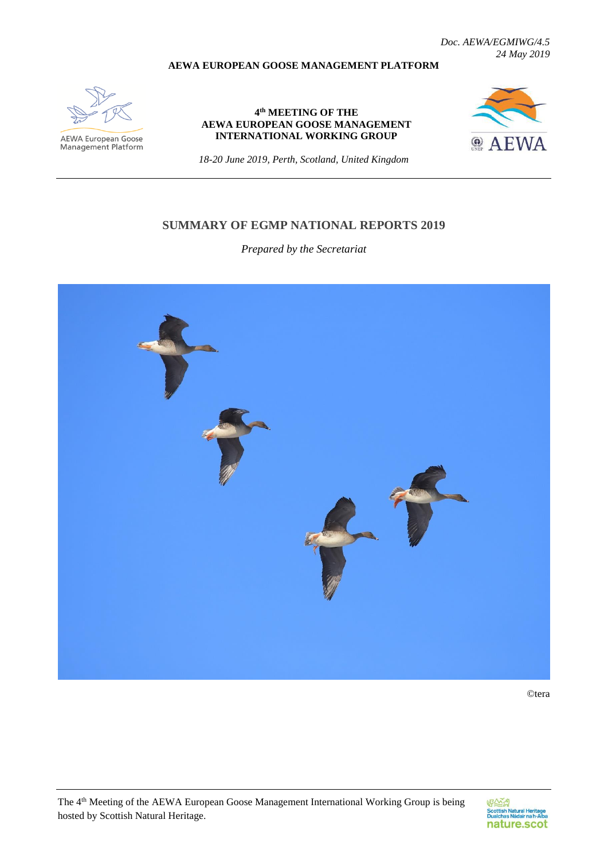*Doc. AEWA/EGMIWG/4.5 24 May 2019*

#### **AEWA EUROPEAN GOOSE MANAGEMENT PLATFORM**



**AEWA European Goose**<br>Management Platform

#### **4 th MEETING OF THE AEWA EUROPEAN GOOSE MANAGEMENT INTERNATIONAL WORKING GROUP**



*18-20 June 2019, Perth, Scotland, United Kingdom*

#### **SUMMARY OF EGMP NATIONAL REPORTS 2019**

*Prepared by the Secretariat*



©tera

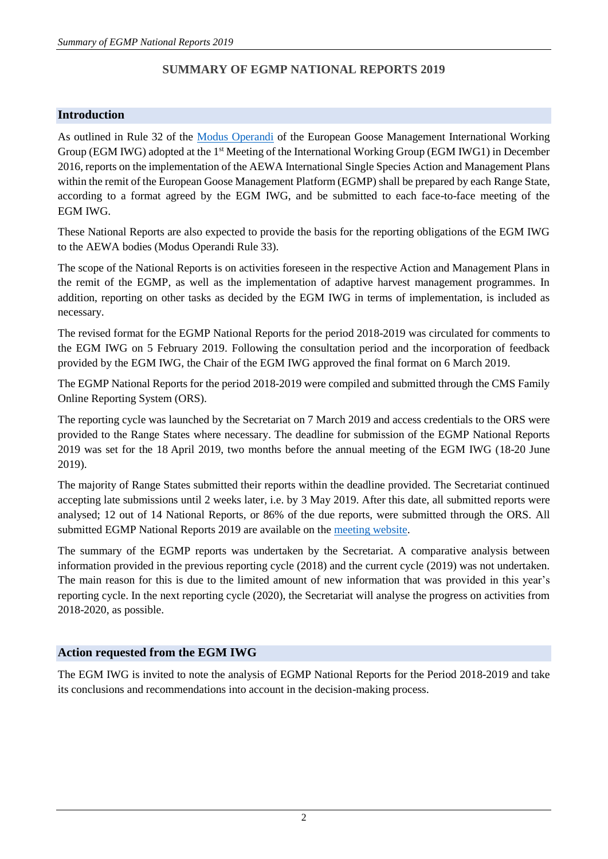# **SUMMARY OF EGMP NATIONAL REPORTS 2019**

## **Introduction**

As outlined in Rule 32 of the [Modus Operandi](https://egmp.aewa.info/sites/default/files/download/population_status_reports/AEWA%20EGMP%20Modus%20Operandi%20version%2002.0.pdf) of the European Goose Management International Working Group (EGM IWG) adopted at the 1<sup>st</sup> Meeting of the International Working Group (EGM IWG1) in December 2016, reports on the implementation of the AEWA International Single Species Action and Management Plans within the remit of the European Goose Management Platform (EGMP) shall be prepared by each Range State, according to a format agreed by the EGM IWG, and be submitted to each face-to-face meeting of the EGM IWG.

These National Reports are also expected to provide the basis for the reporting obligations of the EGM IWG to the AEWA bodies (Modus Operandi Rule 33).

The scope of the National Reports is on activities foreseen in the respective Action and Management Plans in the remit of the EGMP, as well as the implementation of adaptive harvest management programmes. In addition, reporting on other tasks as decided by the EGM IWG in terms of implementation, is included as necessary.

The revised format for the EGMP National Reports for the period 2018-2019 was circulated for comments to the EGM IWG on 5 February 2019. Following the consultation period and the incorporation of feedback provided by the EGM IWG, the Chair of the EGM IWG approved the final format on 6 March 2019.

The EGMP National Reports for the period 2018-2019 were compiled and submitted through the CMS Family Online Reporting System (ORS).

The reporting cycle was launched by the Secretariat on 7 March 2019 and access credentials to the ORS were provided to the Range States where necessary. The deadline for submission of the EGMP National Reports 2019 was set for the 18 April 2019, two months before the annual meeting of the EGM IWG (18-20 June 2019).

The majority of Range States submitted their reports within the deadline provided. The Secretariat continued accepting late submissions until 2 weeks later, i.e. by 3 May 2019. After this date, all submitted reports were analysed; 12 out of 14 National Reports, or 86% of the due reports, were submitted through the ORS. All submitted EGMP National Reports 2019 are available on the [meeting website.](https://egmp.aewa.info/meetings/iwg/detail/4th-meeting-aewa-european-goose-management-international-working-group-egm-iwg-4)

The summary of the EGMP reports was undertaken by the Secretariat. A comparative analysis between information provided in the previous reporting cycle (2018) and the current cycle (2019) was not undertaken. The main reason for this is due to the limited amount of new information that was provided in this year's reporting cycle. In the next reporting cycle (2020), the Secretariat will analyse the progress on activities from 2018-2020, as possible.

## **Action requested from the EGM IWG**

The EGM IWG is invited to note the analysis of EGMP National Reports for the Period 2018-2019 and take its conclusions and recommendations into account in the decision-making process.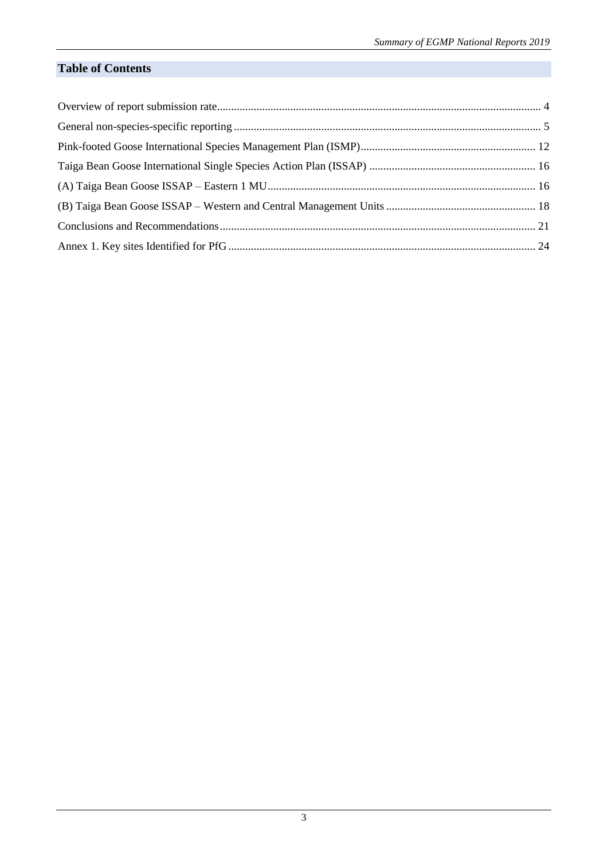# **Table of Contents**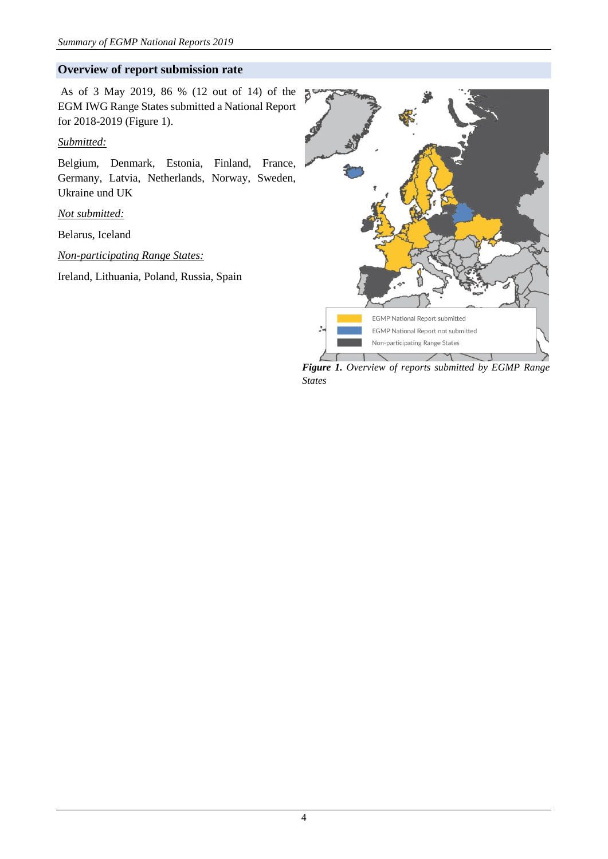#### <span id="page-3-0"></span>**Overview of report submission rate**

As of 3 May 2019, 86 % (12 out of 14) of the EGM IWG Range States submitted a National Report for 2018-2019 (Figure 1).

#### *Submitted:*

Belgium, Denmark, Estonia, Finland, France, Germany, Latvia, Netherlands, Norway, Sweden, Ukraine und UK

*Not submitted:*

Belarus, Iceland

*Non-participating Range States:*

Ireland, Lithuania, Poland, Russia, Spain



*Figure 1. Overview of reports submitted by EGMP Range States*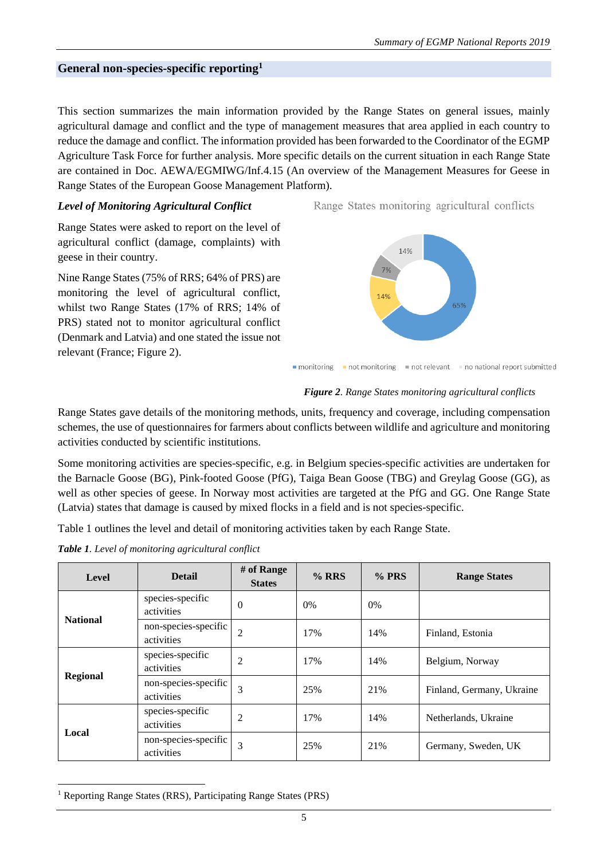#### <span id="page-4-0"></span>**General non-species-specific reporting<sup>1</sup>**

This section summarizes the main information provided by the Range States on general issues, mainly agricultural damage and conflict and the type of management measures that area applied in each country to reduce the damage and conflict. The information provided has been forwarded to the Coordinator of the EGMP Agriculture Task Force for further analysis. More specific details on the current situation in each Range State are contained in Doc. AEWA/EGMIWG/Inf.4.15 (An overview of the Management Measures for Geese in Range States of the European Goose Management Platform).

#### *Level of Monitoring Agricultural Conflict*

Range States were asked to report on the level of agricultural conflict (damage, complaints) with geese in their country.

Nine Range States (75% of RRS; 64% of PRS) are monitoring the level of agricultural conflict, whilst two Range States (17% of RRS; 14% of PRS) stated not to monitor agricultural conflict (Denmark and Latvia) and one stated the issue not relevant (France; Figure 2).

Range States monitoring agricultural conflicts



*Figure 2. Range States monitoring agricultural conflicts*

Range States gave details of the monitoring methods, units, frequency and coverage, including compensation schemes, the use of questionnaires for farmers about conflicts between wildlife and agriculture and monitoring activities conducted by scientific institutions.

Some monitoring activities are species-specific, e.g. in Belgium species-specific activities are undertaken for the Barnacle Goose (BG), Pink-footed Goose (PfG), Taiga Bean Goose (TBG) and Greylag Goose (GG), as well as other species of geese. In Norway most activities are targeted at the PfG and GG. One Range State (Latvia) states that damage is caused by mixed flocks in a field and is not species-specific.

Table 1 outlines the level and detail of monitoring activities taken by each Range State.

*Table 1. Level of monitoring agricultural conflict*

| <b>Level</b>    | <b>Detail</b>                      | # of Range<br><b>States</b> | %RRS  | % PRS | <b>Range States</b>       |
|-----------------|------------------------------------|-----------------------------|-------|-------|---------------------------|
| <b>National</b> | species-specific<br>activities     | $\Omega$                    | $0\%$ | 0%    |                           |
|                 | non-species-specific<br>activities | $\overline{2}$              | 17%   | 14%   | Finland, Estonia          |
|                 | species-specific<br>activities     | $\overline{c}$              | 17%   | 14%   | Belgium, Norway           |
| <b>Regional</b> | non-species-specific<br>activities | 3                           | 25%   | 21%   | Finland, Germany, Ukraine |
| Local           | species-specific<br>activities     | $\overline{c}$              | 17%   | 14%   | Netherlands, Ukraine      |
|                 | non-species-specific<br>activities | 3                           | 25%   | 21%   | Germany, Sweden, UK       |

<sup>1</sup> Reporting Range States (RRS), Participating Range States (PRS)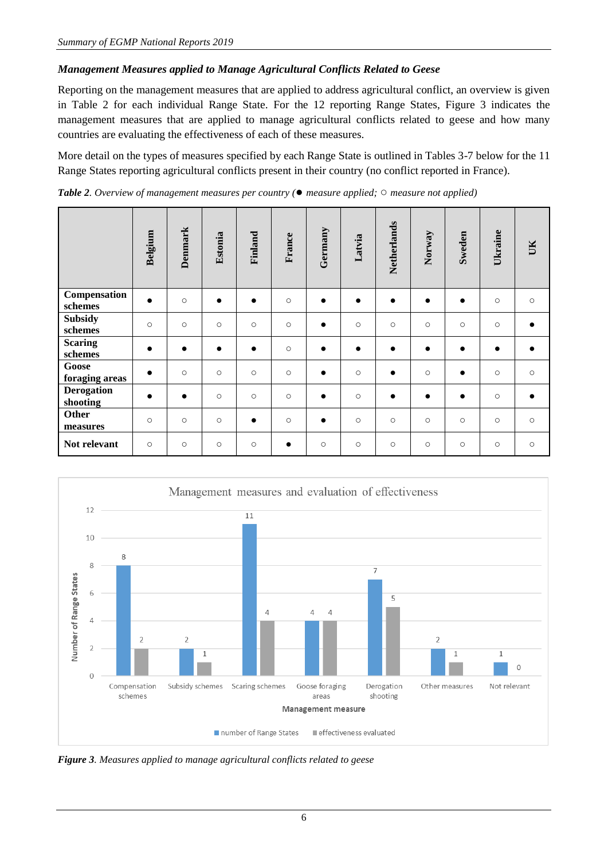## *Management Measures applied to Manage Agricultural Conflicts Related to Geese*

Reporting on the management measures that are applied to address agricultural conflict, an overview is given in Table 2 for each individual Range State. For the 12 reporting Range States, Figure 3 indicates the management measures that are applied to manage agricultural conflicts related to geese and how many countries are evaluating the effectiveness of each of these measures.

More detail on the types of measures specified by each Range State is outlined in Tables 3-7 below for the 11 Range States reporting agricultural conflicts present in their country (no conflict reported in France).

*Table 2. Overview of management measures per country (*● *measure applied;* ○ *measure not applied)*

|                               | Belgium   | <b>Denmark</b> | Estonia   | Finland   | France    | Germany   | Latvia    | Netherlands | Norway    | Sweden    | Ukraine   | UK        |
|-------------------------------|-----------|----------------|-----------|-----------|-----------|-----------|-----------|-------------|-----------|-----------|-----------|-----------|
| Compensation<br>schemes       | $\bullet$ | $\circ$        | $\bullet$ | $\bullet$ | $\circ$   | $\bullet$ | $\bullet$ | $\bullet$   | $\bullet$ | $\bullet$ | $\circ$   | $\circ$   |
| <b>Subsidy</b><br>schemes     | $\circ$   | $\circ$        | $\circ$   | $\circ$   | $\circ$   | $\bullet$ | $\circ$   | $\circ$     | $\circ$   | $\circ$   | $\circ$   |           |
| <b>Scaring</b><br>schemes     |           | $\bullet$      | $\bullet$ | $\bullet$ | $\circ$   | $\bullet$ | $\bullet$ | $\bullet$   | $\bullet$ | $\bullet$ | $\bullet$ |           |
| Goose<br>foraging areas       | $\bullet$ | $\circ$        | $\circ$   | $\circ$   | $\circ$   | $\bullet$ | $\circ$   | $\bullet$   | $\circ$   | $\bullet$ | $\circ$   | $\circ$   |
| <b>Derogation</b><br>shooting |           | $\bullet$      | $\circ$   | $\circ$   | $\circ$   | $\bullet$ | $\circ$   | $\bullet$   | $\bullet$ | $\bullet$ | $\circ$   | $\bullet$ |
| <b>Other</b><br>measures      | $\circ$   | $\circ$        | $\circ$   | $\bullet$ | $\circ$   | $\bullet$ | $\circ$   | $\circ$     | $\circ$   | $\circ$   | $\circ$   | $\circ$   |
| Not relevant                  | $\circ$   | $\circ$        | $\circ$   | $\circ$   | $\bullet$ | $\circ$   | $\circ$   | $\circ$     | $\circ$   | $\circ$   | $\circ$   | $\circ$   |



*Figure 3. Measures applied to manage agricultural conflicts related to geese*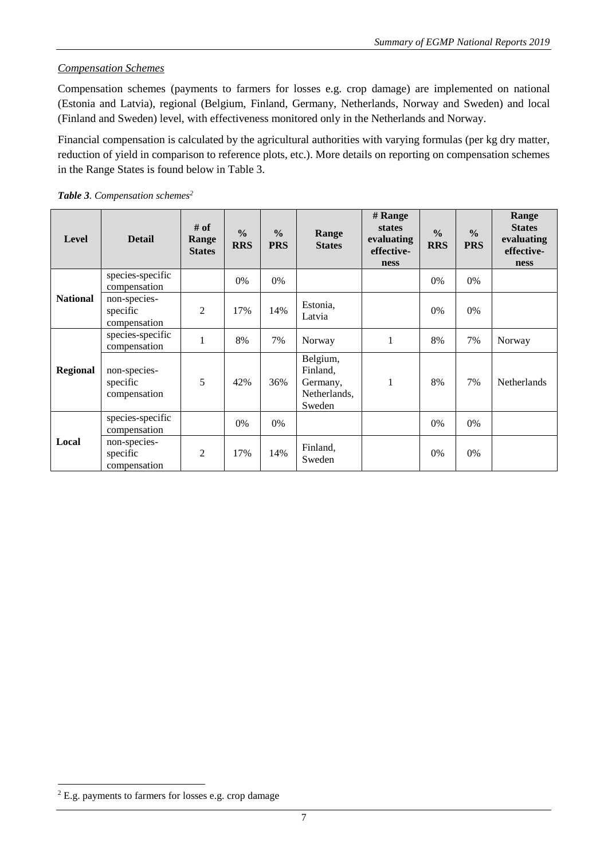## *Compensation Schemes*

Compensation schemes (payments to farmers for losses e.g. crop damage) are implemented on national (Estonia and Latvia), regional (Belgium, Finland, Germany, Netherlands, Norway and Sweden) and local (Finland and Sweden) level, with effectiveness monitored only in the Netherlands and Norway.

Financial compensation is calculated by the agricultural authorities with varying formulas (per kg dry matter, reduction of yield in comparison to reference plots, etc.). More details on reporting on compensation schemes in the Range States is found below in Table 3.

| Level           | <b>Detail</b>                            | # of<br>Range<br><b>States</b> | $\frac{6}{6}$<br><b>RRS</b> | $\frac{6}{6}$<br><b>PRS</b> | Range<br><b>States</b>                                     | # Range<br><b>states</b><br>evaluating<br>effective-<br>ness | $\frac{0}{0}$<br><b>RRS</b> | $\frac{6}{6}$<br><b>PRS</b> | Range<br><b>States</b><br>evaluating<br>effective-<br>ness |
|-----------------|------------------------------------------|--------------------------------|-----------------------------|-----------------------------|------------------------------------------------------------|--------------------------------------------------------------|-----------------------------|-----------------------------|------------------------------------------------------------|
|                 | species-specific<br>compensation         |                                | $0\%$                       | 0%                          |                                                            |                                                              | 0%                          | 0%                          |                                                            |
| <b>National</b> | non-species-<br>specific<br>compensation | 2                              | 17%                         | 14%                         | Estonia,<br>Latvia                                         |                                                              | $0\%$                       | 0%                          |                                                            |
| <b>Regional</b> | species-specific<br>compensation         | 1                              | 8%                          | 7%                          | Norway                                                     | 1                                                            | 8%                          | 7%                          | Norway                                                     |
|                 | non-species-<br>specific<br>compensation | 5                              | 42%                         | 36%                         | Belgium,<br>Finland,<br>Germany,<br>Netherlands,<br>Sweden | $\mathbf{1}$                                                 | 8%                          | 7%                          | Netherlands                                                |
|                 | species-specific<br>compensation         |                                | 0%                          | 0%                          |                                                            |                                                              | 0%                          | 0%                          |                                                            |
| Local           | non-species-<br>specific<br>compensation | $\overline{2}$                 | 17%                         | 14%                         | Finland,<br>Sweden                                         |                                                              | 0%                          | 0%                          |                                                            |

<sup>2</sup> E.g. payments to farmers for losses e.g. crop damage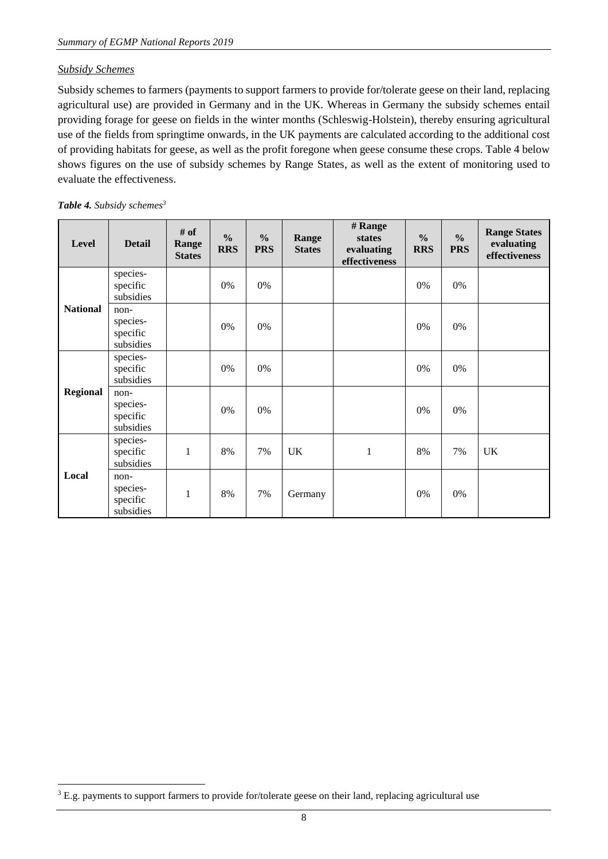#### *Subsidy Schemes*

Subsidy schemes to farmers (payments to support farmers to provide for/tolerate geese on their land, replacing agricultural use) are provided in Germany and in the UK. Whereas in Germany the subsidy schemes entail providing forage for geese on fields in the winter months (Schleswig-Holstein), thereby ensuring agricultural use of the fields from springtime onwards, in the UK payments are calculated according to the additional cost of providing habitats for geese, as well as the profit foregone when geese consume these crops. Table 4 below shows figures on the use of subsidy schemes by Range States, as well as the extent of monitoring used to evaluate the effectiveness.

#### *Table 4. Subsidy schemes<sup>3</sup>*

| <b>Level</b>    | <b>Detail</b>                             | # of<br>Range<br><b>States</b> | $\frac{0}{0}$<br><b>RRS</b> | $\frac{0}{0}$<br><b>PRS</b> | Range<br><b>States</b> | # Range<br>states<br>evaluating<br>effectiveness | $\frac{6}{6}$<br><b>RRS</b> | $\frac{0}{0}$<br><b>PRS</b> | <b>Range States</b><br>evaluating<br>effectiveness |
|-----------------|-------------------------------------------|--------------------------------|-----------------------------|-----------------------------|------------------------|--------------------------------------------------|-----------------------------|-----------------------------|----------------------------------------------------|
|                 | species-<br>specific<br>subsidies         |                                | 0%                          | 0%                          |                        |                                                  | 0%                          | 0%                          |                                                    |
| <b>National</b> | non-<br>species-<br>specific<br>subsidies |                                | 0%                          | 0%                          |                        |                                                  | 0%                          | 0%                          |                                                    |
|                 | species-<br>specific<br>subsidies         |                                | 0%                          | 0%                          |                        |                                                  | 0%                          | 0%                          |                                                    |
| <b>Regional</b> | non-<br>species-<br>specific<br>subsidies |                                | 0%                          | 0%                          |                        |                                                  | 0%                          | 0%                          |                                                    |
|                 | species-<br>specific<br>subsidies         | 1                              | 8%                          | 7%                          | <b>UK</b>              | $\mathbf{1}$                                     | 8%                          | 7%                          | <b>UK</b>                                          |
| Local           | non-<br>species-<br>specific<br>subsidies | $\mathbf{1}$                   | 8%                          | 7%                          | Germany                |                                                  | 0%                          | 0%                          |                                                    |

<sup>&</sup>lt;sup>3</sup> E.g. payments to support farmers to provide for/tolerate geese on their land, replacing agricultural use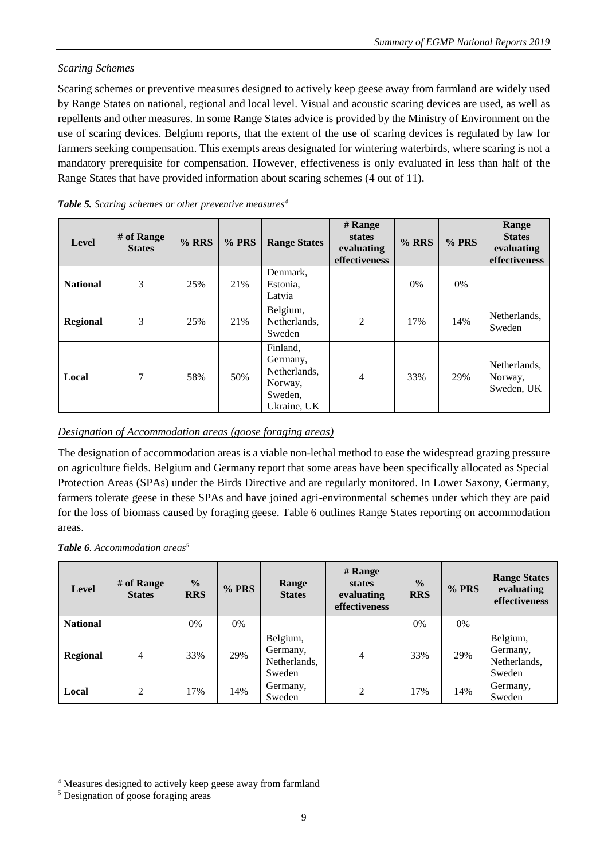## *Scaring Schemes*

Scaring schemes or preventive measures designed to actively keep geese away from farmland are widely used by Range States on national, regional and local level. Visual and acoustic scaring devices are used, as well as repellents and other measures. In some Range States advice is provided by the Ministry of Environment on the use of scaring devices. Belgium reports, that the extent of the use of scaring devices is regulated by law for farmers seeking compensation. This exempts areas designated for wintering waterbirds, where scaring is not a mandatory prerequisite for compensation. However, effectiveness is only evaluated in less than half of the Range States that have provided information about scaring schemes (4 out of 11).

| Level           | $#$ of Range<br><b>States</b> | $%$ RRS | % PRS | <b>Range States</b>                                                       | # Range<br><b>states</b><br>evaluating<br>effectiveness | $%$ RRS | % PRS | Range<br><b>States</b><br>evaluating<br>effectiveness |
|-----------------|-------------------------------|---------|-------|---------------------------------------------------------------------------|---------------------------------------------------------|---------|-------|-------------------------------------------------------|
| <b>National</b> | 3                             | 25%     | 21%   | Denmark,<br>Estonia,<br>Latvia                                            |                                                         | $0\%$   | $0\%$ |                                                       |
| <b>Regional</b> | 3                             | 25%     | 21%   | Belgium,<br>Netherlands,<br>Sweden                                        | $\overline{2}$                                          | 17%     | 14%   | Netherlands.<br>Sweden                                |
| Local           | 7                             | 58%     | 50%   | Finland,<br>Germany,<br>Netherlands,<br>Norway,<br>Sweden,<br>Ukraine, UK | 4                                                       | 33%     | 29%   | Netherlands,<br>Norway,<br>Sweden, UK                 |

| Table 5. Scaring schemes or other preventive measures <sup>4</sup> |  |  |
|--------------------------------------------------------------------|--|--|
|                                                                    |  |  |

## *Designation of Accommodation areas (goose foraging areas)*

The designation of accommodation areas is a viable non-lethal method to ease the widespread grazing pressure on agriculture fields. Belgium and Germany report that some areas have been specifically allocated as Special Protection Areas (SPAs) under the Birds Directive and are regularly monitored. In Lower Saxony, Germany, farmers tolerate geese in these SPAs and have joined agri-environmental schemes under which they are paid for the loss of biomass caused by foraging geese. Table 6 outlines Range States reporting on accommodation areas.

#### *Table 6. Accommodation areas<sup>5</sup>*

| Level           | # of Range<br><b>States</b> | $\frac{0}{0}$<br><b>RRS</b> | % PRS | Range<br><b>States</b>                         | # Range<br>states<br>evaluating<br>effectiveness | $\frac{0}{0}$<br><b>RRS</b> | $%$ PRS | <b>Range States</b><br>evaluating<br>effectiveness |
|-----------------|-----------------------------|-----------------------------|-------|------------------------------------------------|--------------------------------------------------|-----------------------------|---------|----------------------------------------------------|
| <b>National</b> |                             | 0%                          | 0%    |                                                |                                                  | $0\%$                       | $0\%$   |                                                    |
| <b>Regional</b> | $\overline{4}$              | 33%                         | 29%   | Belgium,<br>Germany,<br>Netherlands,<br>Sweden | 4                                                | 33%                         | 29%     | Belgium,<br>Germany,<br>Netherlands,<br>Sweden     |
| Local           | $\overline{2}$              | 17%                         | 14%   | Germany,<br>Sweden                             | $\overline{c}$                                   | 17%                         | 14%     | Germany,<br>Sweden                                 |

<sup>4</sup> Measures designed to actively keep geese away from farmland

<sup>5</sup> Designation of goose foraging areas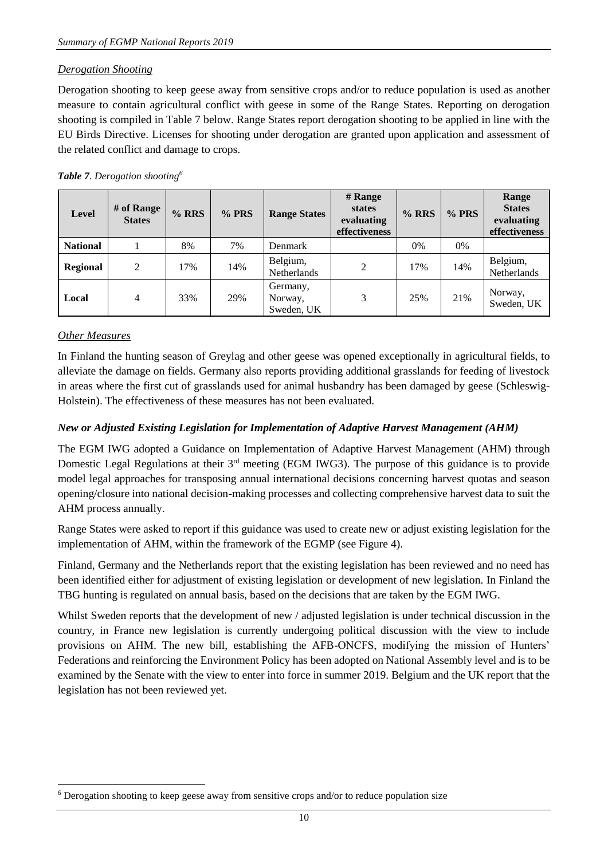#### *Derogation Shooting*

Derogation shooting to keep geese away from sensitive crops and/or to reduce population is used as another measure to contain agricultural conflict with geese in some of the Range States. Reporting on derogation shooting is compiled in Table 7 below. Range States report derogation shooting to be applied in line with the EU Birds Directive. Licenses for shooting under derogation are granted upon application and assessment of the related conflict and damage to crops.

#### *Table 7. Derogation shooting<sup>6</sup>*

| <b>Level</b>    | # of Range<br><b>States</b> | %RRS | % PRS | <b>Range States</b>               | # Range<br>states<br>evaluating<br>effectiveness | %RRS | $%$ PRS | Range<br><b>States</b><br>evaluating<br>effectiveness |
|-----------------|-----------------------------|------|-------|-----------------------------------|--------------------------------------------------|------|---------|-------------------------------------------------------|
| <b>National</b> |                             | 8%   | 7%    | Denmark                           |                                                  | 0%   | 0%      |                                                       |
| <b>Regional</b> | 2                           | 17%  | 14%   | Belgium,<br><b>Netherlands</b>    | 2                                                | 17%  | 14%     | Belgium,<br>Netherlands                               |
| Local           | 4                           | 33%  | 29%   | Germany,<br>Norway,<br>Sweden, UK | 3                                                | 25%  | 21%     | Norway,<br>Sweden, UK                                 |

#### *Other Measures*

1

In Finland the hunting season of Greylag and other geese was opened exceptionally in agricultural fields, to alleviate the damage on fields. Germany also reports providing additional grasslands for feeding of livestock in areas where the first cut of grasslands used for animal husbandry has been damaged by geese (Schleswig-Holstein). The effectiveness of these measures has not been evaluated.

#### *New or Adjusted Existing Legislation for Implementation of Adaptive Harvest Management (AHM)*

The EGM IWG adopted a Guidance on Implementation of Adaptive Harvest Management (AHM) through Domestic Legal Regulations at their 3<sup>rd</sup> meeting (EGM IWG3). The purpose of this guidance is to provide model legal approaches for transposing annual international decisions concerning harvest quotas and season opening/closure into national decision-making processes and collecting comprehensive harvest data to suit the AHM process annually.

Range States were asked to report if this guidance was used to create new or adjust existing legislation for the implementation of AHM, within the framework of the EGMP (see Figure 4).

Finland, Germany and the Netherlands report that the existing legislation has been reviewed and no need has been identified either for adjustment of existing legislation or development of new legislation. In Finland the TBG hunting is regulated on annual basis, based on the decisions that are taken by the EGM IWG.

Whilst Sweden reports that the development of new / adjusted legislation is under technical discussion in the country, in France new legislation is currently undergoing political discussion with the view to include provisions on AHM. The new bill, establishing the AFB-ONCFS, modifying the mission of Hunters' Federations and reinforcing the Environment Policy has been adopted on National Assembly level and is to be examined by the Senate with the view to enter into force in summer 2019. Belgium and the UK report that the legislation has not been reviewed yet.

<sup>6</sup> Derogation shooting to keep geese away from sensitive crops and/or to reduce population size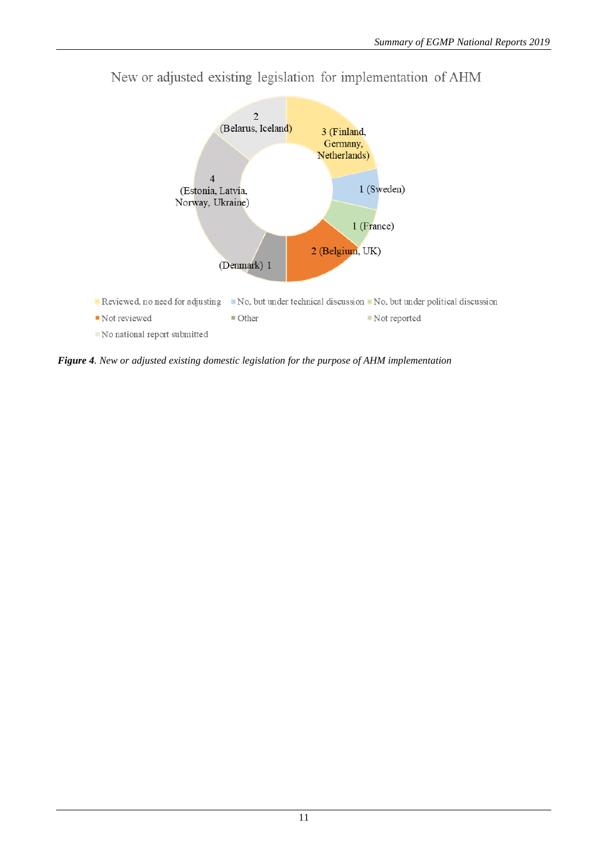

New or adjusted existing legislation for implementation of AHM

*Figure 4. New or adjusted existing domestic legislation for the purpose of AHM implementation*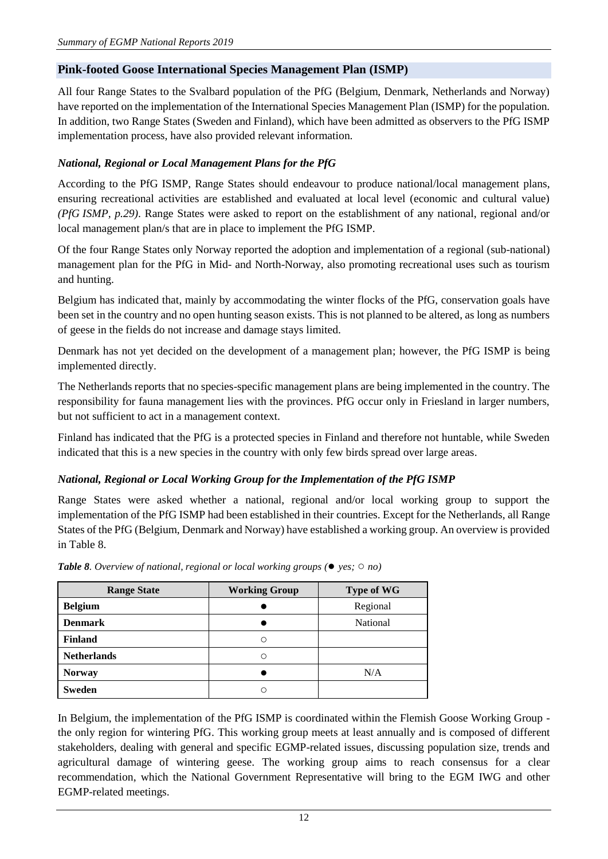## <span id="page-11-0"></span>**Pink-footed Goose International Species Management Plan (ISMP)**

All four Range States to the Svalbard population of the PfG (Belgium, Denmark, Netherlands and Norway) have reported on the implementation of the International Species Management Plan (ISMP) for the population. In addition, two Range States (Sweden and Finland), which have been admitted as observers to the PfG ISMP implementation process, have also provided relevant information.

## *National, Regional or Local Management Plans for the PfG*

According to the PfG ISMP, Range States should endeavour to produce national/local management plans, ensuring recreational activities are established and evaluated at local level (economic and cultural value) *(PfG ISMP, p.29)*. Range States were asked to report on the establishment of any national, regional and/or local management plan/s that are in place to implement the PfG ISMP.

Of the four Range States only Norway reported the adoption and implementation of a regional (sub-national) management plan for the PfG in Mid- and North-Norway, also promoting recreational uses such as tourism and hunting.

Belgium has indicated that, mainly by accommodating the winter flocks of the PfG, conservation goals have been set in the country and no open hunting season exists. This is not planned to be altered, as long as numbers of geese in the fields do not increase and damage stays limited.

Denmark has not yet decided on the development of a management plan; however, the PfG ISMP is being implemented directly.

The Netherlands reports that no species-specific management plans are being implemented in the country. The responsibility for fauna management lies with the provinces. PfG occur only in Friesland in larger numbers, but not sufficient to act in a management context.

Finland has indicated that the PfG is a protected species in Finland and therefore not huntable, while Sweden indicated that this is a new species in the country with only few birds spread over large areas.

#### *National, Regional or Local Working Group for the Implementation of the PfG ISMP*

Range States were asked whether a national, regional and/or local working group to support the implementation of the PfG ISMP had been established in their countries. Except for the Netherlands, all Range States of the PfG (Belgium, Denmark and Norway) have established a working group. An overview is provided in Table 8.

| <b>Range State</b> | <b>Working Group</b> | <b>Type of WG</b> |
|--------------------|----------------------|-------------------|
| <b>Belgium</b>     |                      | Regional          |
| <b>Denmark</b>     |                      | National          |
| <b>Finland</b>     | ∩                    |                   |
| <b>Netherlands</b> | Ω                    |                   |
| <b>Norway</b>      |                      | N/A               |
| <b>Sweden</b>      |                      |                   |

*Table 8. Overview of national, regional or local working groups (*● *yes;* ○ *no)*

In Belgium, the implementation of the PfG ISMP is coordinated within the Flemish Goose Working Group the only region for wintering PfG. This working group meets at least annually and is composed of different stakeholders, dealing with general and specific EGMP-related issues, discussing population size, trends and agricultural damage of wintering geese. The working group aims to reach consensus for a clear recommendation, which the National Government Representative will bring to the EGM IWG and other EGMP-related meetings.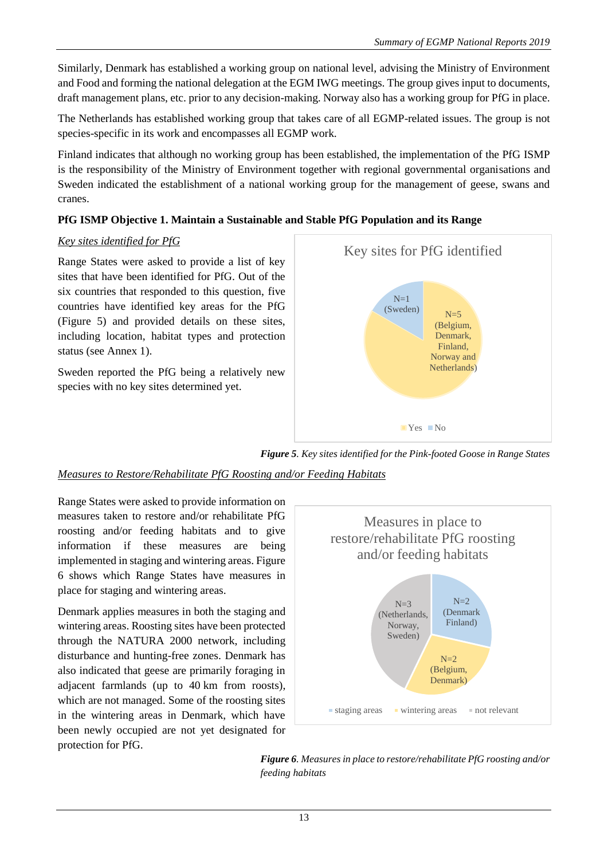Similarly, Denmark has established a working group on national level, advising the Ministry of Environment and Food and forming the national delegation at the EGM IWG meetings. The group gives input to documents, draft management plans, etc. prior to any decision-making. Norway also has a working group for PfG in place.

The Netherlands has established working group that takes care of all EGMP-related issues. The group is not species-specific in its work and encompasses all EGMP work.

Finland indicates that although no working group has been established, the implementation of the PfG ISMP is the responsibility of the Ministry of Environment together with regional governmental organisations and Sweden indicated the establishment of a national working group for the management of geese, swans and cranes.

## **PfG ISMP Objective 1. Maintain a Sustainable and Stable PfG Population and its Range**

## *Key sites identified for PfG*

Range States were asked to provide a list of key sites that have been identified for PfG. Out of the six countries that responded to this question, five countries have identified key areas for the PfG (Figure 5) and provided details on these sites, including location, habitat types and protection status (see Annex 1).

Sweden reported the PfG being a relatively new species with no key sites determined yet.



*Figure 5. Key sites identified for the Pink-footed Goose in Range States*

# *Measures to Restore/Rehabilitate PfG Roosting and/or Feeding Habitats*

Range States were asked to provide information on measures taken to restore and/or rehabilitate PfG roosting and/or feeding habitats and to give information if these measures are being implemented in staging and wintering areas. Figure 6 shows which Range States have measures in place for staging and wintering areas.

Denmark applies measures in both the staging and wintering areas. Roosting sites have been protected through the NATURA 2000 network, including disturbance and hunting-free zones. Denmark has also indicated that geese are primarily foraging in adjacent farmlands (up to 40 km from roosts), which are not managed. Some of the roosting sites in the wintering areas in Denmark, which have been newly occupied are not yet designated for protection for PfG.



*Figure 6. Measures in place to restore/rehabilitate PfG roosting and/or feeding habitats*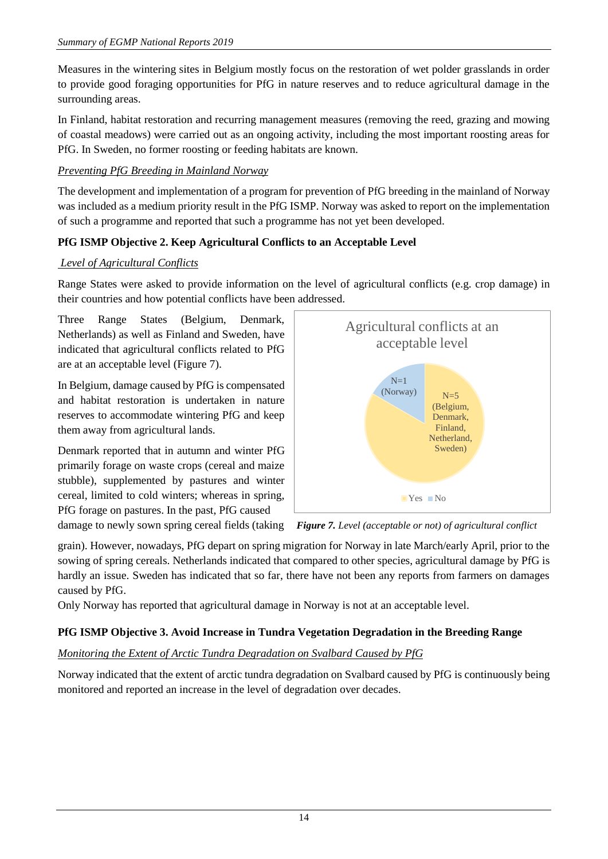Measures in the wintering sites in Belgium mostly focus on the restoration of wet polder grasslands in order to provide good foraging opportunities for PfG in nature reserves and to reduce agricultural damage in the surrounding areas.

In Finland, habitat restoration and recurring management measures (removing the reed, grazing and mowing of coastal meadows) were carried out as an ongoing activity, including the most important roosting areas for PfG. In Sweden, no former roosting or feeding habitats are known.

# *Preventing PfG Breeding in Mainland Norway*

The development and implementation of a program for prevention of PfG breeding in the mainland of Norway was included as a medium priority result in the PfG ISMP. Norway was asked to report on the implementation of such a programme and reported that such a programme has not yet been developed.

# **PfG ISMP Objective 2. Keep Agricultural Conflicts to an Acceptable Level**

## *Level of Agricultural Conflicts*

Range States were asked to provide information on the level of agricultural conflicts (e.g. crop damage) in their countries and how potential conflicts have been addressed.

Three Range States (Belgium, Denmark, Netherlands) as well as Finland and Sweden, have indicated that agricultural conflicts related to PfG are at an acceptable level (Figure 7).

In Belgium, damage caused by PfG is compensated and habitat restoration is undertaken in nature reserves to accommodate wintering PfG and keep them away from agricultural lands.

Denmark reported that in autumn and winter PfG primarily forage on waste crops (cereal and maize stubble), supplemented by pastures and winter cereal, limited to cold winters; whereas in spring, PfG forage on pastures. In the past, PfG caused



damage to newly sown spring cereal fields (taking *Figure 7. Level (acceptable or not) of agricultural conflict*

grain). However, nowadays, PfG depart on spring migration for Norway in late March/early April, prior to the sowing of spring cereals. Netherlands indicated that compared to other species, agricultural damage by PfG is hardly an issue. Sweden has indicated that so far, there have not been any reports from farmers on damages caused by PfG.

Only Norway has reported that agricultural damage in Norway is not at an acceptable level.

# **PfG ISMP Objective 3. Avoid Increase in Tundra Vegetation Degradation in the Breeding Range**

# *Monitoring the Extent of Arctic Tundra Degradation on Svalbard Caused by PfG*

Norway indicated that the extent of arctic tundra degradation on Svalbard caused by PfG is continuously being monitored and reported an increase in the level of degradation over decades.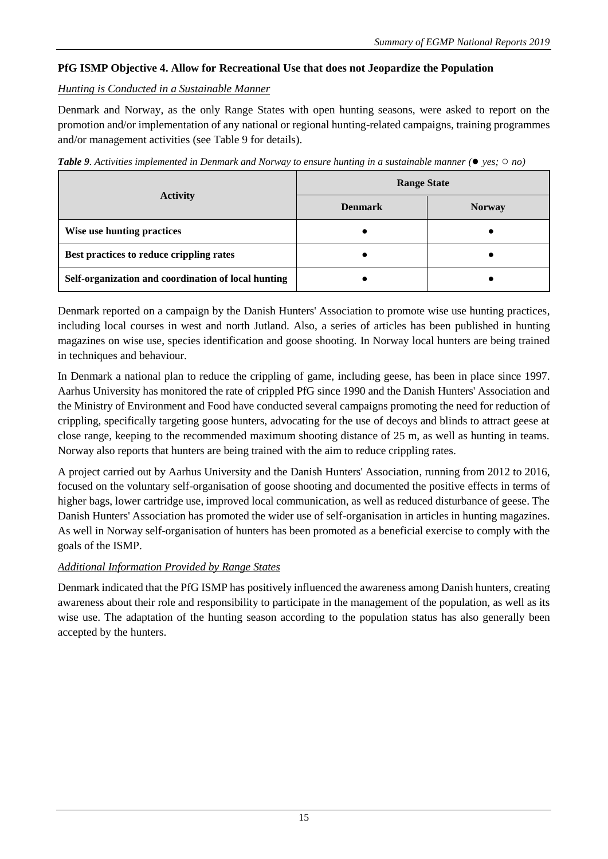## **PfG ISMP Objective 4. Allow for Recreational Use that does not Jeopardize the Population**

#### *Hunting is Conducted in a Sustainable Manner*

Denmark and Norway, as the only Range States with open hunting seasons, were asked to report on the promotion and/or implementation of any national or regional hunting-related campaigns, training programmes and/or management activities (see Table 9 for details).

*Table 9. Activities implemented in Denmark and Norway to ensure hunting in a sustainable manner (*● *yes;* ○ *no)*

|                                                     | <b>Range State</b> |               |  |  |
|-----------------------------------------------------|--------------------|---------------|--|--|
| <b>Activity</b>                                     | <b>Denmark</b>     | <b>Norway</b> |  |  |
| Wise use hunting practices                          |                    |               |  |  |
| Best practices to reduce crippling rates            |                    |               |  |  |
| Self-organization and coordination of local hunting |                    |               |  |  |

Denmark reported on a campaign by the Danish Hunters' Association to promote wise use hunting practices, including local courses in west and north Jutland. Also, a series of articles has been published in hunting magazines on wise use, species identification and goose shooting. In Norway local hunters are being trained in techniques and behaviour.

In Denmark a national plan to reduce the crippling of game, including geese, has been in place since 1997. Aarhus University has monitored the rate of crippled PfG since 1990 and the Danish Hunters' Association and the Ministry of Environment and Food have conducted several campaigns promoting the need for reduction of crippling, specifically targeting goose hunters, advocating for the use of decoys and blinds to attract geese at close range, keeping to the recommended maximum shooting distance of 25 m, as well as hunting in teams. Norway also reports that hunters are being trained with the aim to reduce crippling rates.

A project carried out by Aarhus University and the Danish Hunters' Association, running from 2012 to 2016, focused on the voluntary self-organisation of goose shooting and documented the positive effects in terms of higher bags, lower cartridge use, improved local communication, as well as reduced disturbance of geese. The Danish Hunters' Association has promoted the wider use of self-organisation in articles in hunting magazines. As well in Norway self-organisation of hunters has been promoted as a beneficial exercise to comply with the goals of the ISMP.

## *Additional Information Provided by Range States*

Denmark indicated that the PfG ISMP has positively influenced the awareness among Danish hunters, creating awareness about their role and responsibility to participate in the management of the population, as well as its wise use. The adaptation of the hunting season according to the population status has also generally been accepted by the hunters.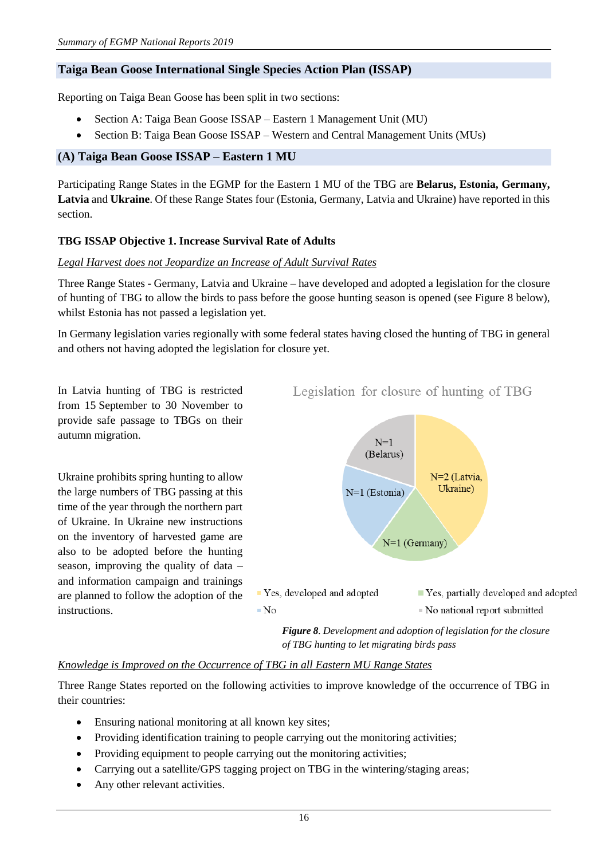#### <span id="page-15-0"></span>**Taiga Bean Goose International Single Species Action Plan (ISSAP)**

Reporting on Taiga Bean Goose has been split in two sections:

- Section A: Taiga Bean Goose ISSAP Eastern 1 Management Unit (MU)
- Section B: Taiga Bean Goose ISSAP Western and Central Management Units (MUs)

#### <span id="page-15-1"></span>**(A) Taiga Bean Goose ISSAP – Eastern 1 MU**

Participating Range States in the EGMP for the Eastern 1 MU of the TBG are **Belarus, Estonia, Germany, Latvia** and **Ukraine**. Of these Range States four (Estonia, Germany, Latvia and Ukraine) have reported in this section.

#### **TBG ISSAP Objective 1. Increase Survival Rate of Adults**

#### *Legal Harvest does not Jeopardize an Increase of Adult Survival Rates*

Three Range States - Germany, Latvia and Ukraine – have developed and adopted a legislation for the closure of hunting of TBG to allow the birds to pass before the goose hunting season is opened (see Figure 8 below), whilst Estonia has not passed a legislation yet.

In Germany legislation varies regionally with some federal states having closed the hunting of TBG in general and others not having adopted the legislation for closure yet.

In Latvia hunting of TBG is restricted from 15 September to 30 November to provide safe passage to TBGs on their autumn migration.

Ukraine prohibits spring hunting to allow the large numbers of TBG passing at this time of the year through the northern part of Ukraine. In Ukraine new instructions on the inventory of harvested game are also to be adopted before the hunting season, improving the quality of data – and information campaign and trainings are planned to follow the adoption of the instructions.



Legislation for closure of hunting of TBG

*Figure 8. Development and adoption of legislation for the closure of TBG hunting to let migrating birds pass*

#### *Knowledge is Improved on the Occurrence of TBG in all Eastern MU Range States*

Three Range States reported on the following activities to improve knowledge of the occurrence of TBG in their countries:

- Ensuring national monitoring at all known key sites;
- Providing identification training to people carrying out the monitoring activities;
- Providing equipment to people carrying out the monitoring activities;
- Carrying out a satellite/GPS tagging project on TBG in the wintering/staging areas;
- Any other relevant activities.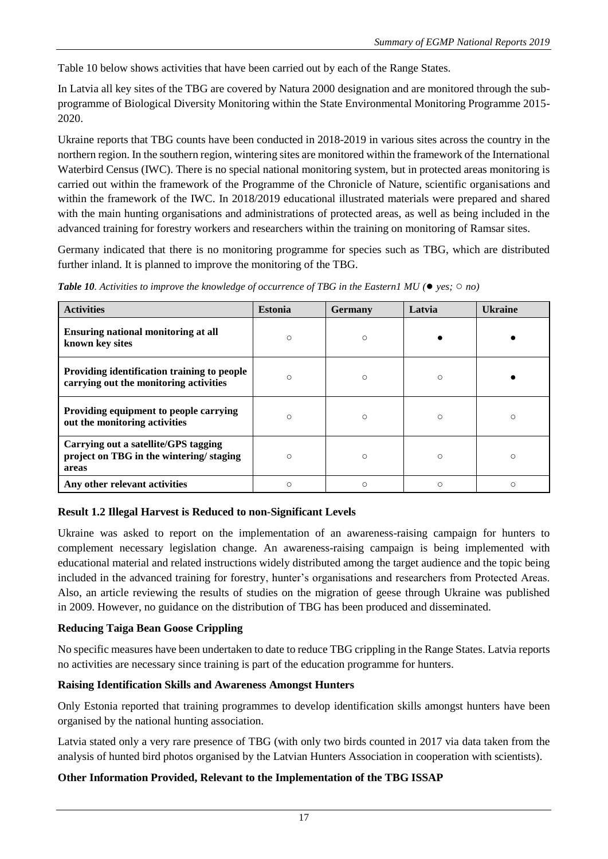Table 10 below shows activities that have been carried out by each of the Range States.

In Latvia all key sites of the TBG are covered by Natura 2000 designation and are monitored through the subprogramme of Biological Diversity Monitoring within the State Environmental Monitoring Programme 2015- 2020.

Ukraine reports that TBG counts have been conducted in 2018-2019 in various sites across the country in the northern region. In the southern region, wintering sites are monitored within the framework of the International Waterbird Census (IWC). There is no special national monitoring system, but in protected areas monitoring is carried out within the framework of the Programme of the Chronicle of Nature, scientific organisations and within the framework of the IWC. In 2018/2019 educational illustrated materials were prepared and shared with the main hunting organisations and administrations of protected areas, as well as being included in the advanced training for forestry workers and researchers within the training on monitoring of Ramsar sites.

Germany indicated that there is no monitoring programme for species such as TBG, which are distributed further inland. It is planned to improve the monitoring of the TBG.

| <b>Activities</b>                                                                        | <b>Estonia</b> | <b>Germany</b> | Latvia  | <b>Ukraine</b> |
|------------------------------------------------------------------------------------------|----------------|----------------|---------|----------------|
| Ensuring national monitoring at all<br>known key sites                                   | $\circ$        | $\circ$        |         |                |
| Providing identification training to people<br>carrying out the monitoring activities    | $\bigcirc$     | $\circ$        | $\circ$ |                |
| Providing equipment to people carrying<br>out the monitoring activities                  | $\circ$        | $\circ$        | $\circ$ | $\circ$        |
| Carrying out a satellite/GPS tagging<br>project on TBG in the wintering/staging<br>areas | $\bigcirc$     | $\circ$        | $\circ$ | $\bigcirc$     |
| Any other relevant activities                                                            | $\circ$        | $\circ$        | $\circ$ | ∩              |

*Table 10. Activities to improve the knowledge of occurrence of TBG in the Eastern1 MU (*● *yes;* ○ *no)*

## **Result 1.2 Illegal Harvest is Reduced to non-Significant Levels**

Ukraine was asked to report on the implementation of an awareness-raising campaign for hunters to complement necessary legislation change. An awareness-raising campaign is being implemented with educational material and related instructions widely distributed among the target audience and the topic being included in the advanced training for forestry, hunter's organisations and researchers from Protected Areas. Also, an article reviewing the results of studies on the migration of geese through Ukraine was published in 2009. However, no guidance on the distribution of TBG has been produced and disseminated.

## **Reducing Taiga Bean Goose Crippling**

No specific measures have been undertaken to date to reduce TBG crippling in the Range States. Latvia reports no activities are necessary since training is part of the education programme for hunters.

#### **Raising Identification Skills and Awareness Amongst Hunters**

Only Estonia reported that training programmes to develop identification skills amongst hunters have been organised by the national hunting association.

Latvia stated only a very rare presence of TBG (with only two birds counted in 2017 via data taken from the analysis of hunted bird photos organised by the Latvian Hunters Association in cooperation with scientists).

## **Other Information Provided, Relevant to the Implementation of the TBG ISSAP**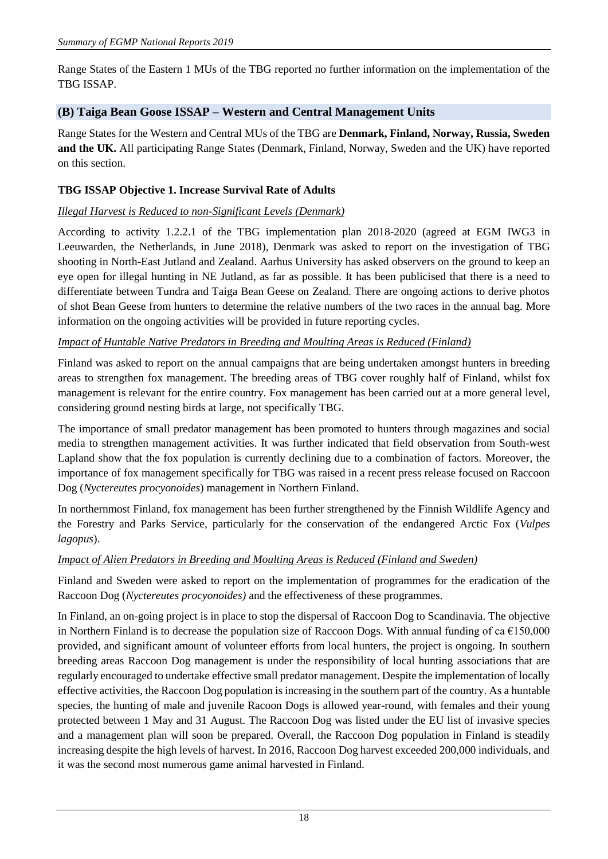Range States of the Eastern 1 MUs of the TBG reported no further information on the implementation of the TBG ISSAP.

#### <span id="page-17-0"></span>**(B) Taiga Bean Goose ISSAP – Western and Central Management Units**

Range States for the Western and Central MUs of the TBG are **Denmark, Finland, Norway, Russia, Sweden and the UK.** All participating Range States (Denmark, Finland, Norway, Sweden and the UK) have reported on this section.

## **TBG ISSAP Objective 1. Increase Survival Rate of Adults**

#### *Illegal Harvest is Reduced to non-Significant Levels (Denmark)*

According to activity 1.2.2.1 of the TBG implementation plan 2018-2020 (agreed at EGM IWG3 in Leeuwarden, the Netherlands, in June 2018), Denmark was asked to report on the investigation of TBG shooting in North-East Jutland and Zealand. Aarhus University has asked observers on the ground to keep an eye open for illegal hunting in NE Jutland, as far as possible. It has been publicised that there is a need to differentiate between Tundra and Taiga Bean Geese on Zealand. There are ongoing actions to derive photos of shot Bean Geese from hunters to determine the relative numbers of the two races in the annual bag. More information on the ongoing activities will be provided in future reporting cycles.

#### *Impact of Huntable Native Predators in Breeding and Moulting Areas is Reduced (Finland)*

Finland was asked to report on the annual campaigns that are being undertaken amongst hunters in breeding areas to strengthen fox management. The breeding areas of TBG cover roughly half of Finland, whilst fox management is relevant for the entire country. Fox management has been carried out at a more general level, considering ground nesting birds at large, not specifically TBG.

The importance of small predator management has been promoted to hunters through magazines and social media to strengthen management activities. It was further indicated that field observation from South-west Lapland show that the fox population is currently declining due to a combination of factors. Moreover, the importance of fox management specifically for TBG was raised in a recent press release focused on Raccoon Dog (*Nyctereutes procyonoides*) management in Northern Finland.

In northernmost Finland, fox management has been further strengthened by the Finnish Wildlife Agency and the Forestry and Parks Service, particularly for the conservation of the endangered Arctic Fox (*Vulpes lagopus*).

#### *Impact of Alien Predators in Breeding and Moulting Areas is Reduced (Finland and Sweden)*

Finland and Sweden were asked to report on the implementation of programmes for the eradication of the Raccoon Dog (*Nyctereutes procyonoides)* and the effectiveness of these programmes.

In Finland, an on-going project is in place to stop the dispersal of Raccoon Dog to Scandinavia. The objective in Northern Finland is to decrease the population size of Raccoon Dogs. With annual funding of ca  $\epsilon$ 150,000 provided, and significant amount of volunteer efforts from local hunters, the project is ongoing. In southern breeding areas Raccoon Dog management is under the responsibility of local hunting associations that are regularly encouraged to undertake effective small predator management. Despite the implementation of locally effective activities, the Raccoon Dog population is increasing in the southern part of the country. As a huntable species, the hunting of male and juvenile Racoon Dogs is allowed year-round, with females and their young protected between 1 May and 31 August. The Raccoon Dog was listed under the EU list of invasive species and a management plan will soon be prepared. Overall, the Raccoon Dog population in Finland is steadily increasing despite the high levels of harvest. In 2016, Raccoon Dog harvest exceeded 200,000 individuals, and it was the second most numerous game animal harvested in Finland.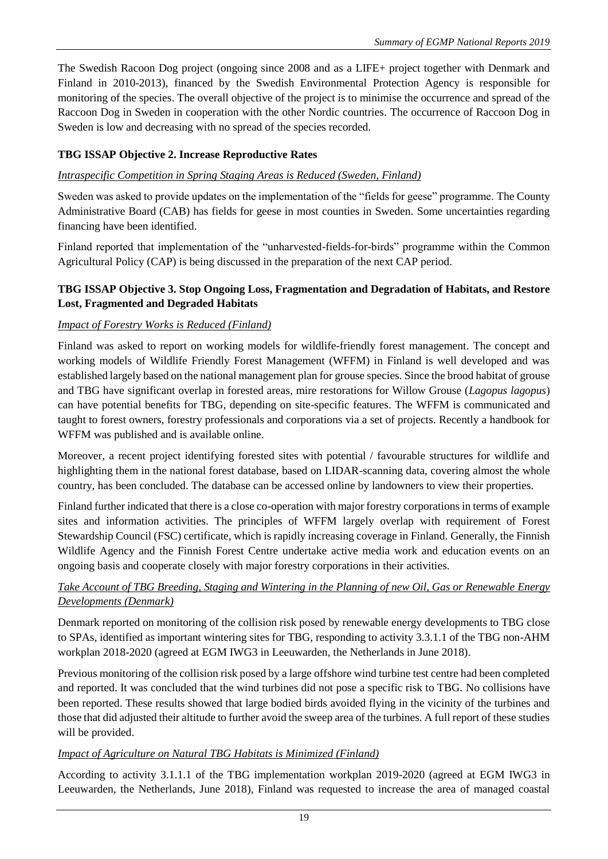The Swedish Racoon Dog project (ongoing since 2008 and as a LIFE+ project together with Denmark and Finland in 2010-2013), financed by the Swedish Environmental Protection Agency is responsible for monitoring of the species. The overall objective of the project is to minimise the occurrence and spread of the Raccoon Dog in Sweden in cooperation with the other Nordic countries. The occurrence of Raccoon Dog in Sweden is low and decreasing with no spread of the species recorded.

## **TBG ISSAP Objective 2. Increase Reproductive Rates**

## *Intraspecific Competition in Spring Staging Areas is Reduced (Sweden, Finland)*

Sweden was asked to provide updates on the implementation of the "fields for geese" programme. The County Administrative Board (CAB) has fields for geese in most counties in Sweden. Some uncertainties regarding financing have been identified.

Finland reported that implementation of the "unharvested-fields-for-birds" programme within the Common Agricultural Policy (CAP) is being discussed in the preparation of the next CAP period.

## **TBG ISSAP Objective 3. Stop Ongoing Loss, Fragmentation and Degradation of Habitats, and Restore Lost, Fragmented and Degraded Habitats**

## *Impact of Forestry Works is Reduced (Finland)*

Finland was asked to report on working models for wildlife-friendly forest management. The concept and working models of Wildlife Friendly Forest Management (WFFM) in Finland is well developed and was established largely based on the national management plan for grouse species. Since the brood habitat of grouse and TBG have significant overlap in forested areas, mire restorations for Willow Grouse (*Lagopus lagopus*) can have potential benefits for TBG, depending on site-specific features. The WFFM is communicated and taught to forest owners, forestry professionals and corporations via a set of projects. Recently a handbook for WFFM was published and is available online.

Moreover, a recent project identifying forested sites with potential / favourable structures for wildlife and highlighting them in the national forest database, based on LIDAR-scanning data, covering almost the whole country, has been concluded. The database can be accessed online by landowners to view their properties.

Finland further indicated that there is a close co-operation with major forestry corporations in terms of example sites and information activities. The principles of WFFM largely overlap with requirement of Forest Stewardship Council (FSC) certificate, which is rapidly increasing coverage in Finland. Generally, the Finnish Wildlife Agency and the Finnish Forest Centre undertake active media work and education events on an ongoing basis and cooperate closely with major forestry corporations in their activities.

## *Take Account of TBG Breeding, Staging and Wintering in the Planning of new Oil, Gas or Renewable Energy Developments (Denmark)*

Denmark reported on monitoring of the collision risk posed by renewable energy developments to TBG close to SPAs, identified as important wintering sites for TBG, responding to activity 3.3.1.1 of the TBG non-AHM workplan 2018-2020 (agreed at EGM IWG3 in Leeuwarden, the Netherlands in June 2018).

Previous monitoring of the collision risk posed by a large offshore wind turbine test centre had been completed and reported. It was concluded that the wind turbines did not pose a specific risk to TBG. No collisions have been reported. These results showed that large bodied birds avoided flying in the vicinity of the turbines and those that did adjusted their altitude to further avoid the sweep area of the turbines. A full report of these studies will be provided.

## *Impact of Agriculture on Natural TBG Habitats is Minimized (Finland)*

According to activity 3.1.1.1 of the TBG implementation workplan 2019-2020 (agreed at EGM IWG3 in Leeuwarden, the Netherlands, June 2018), Finland was requested to increase the area of managed coastal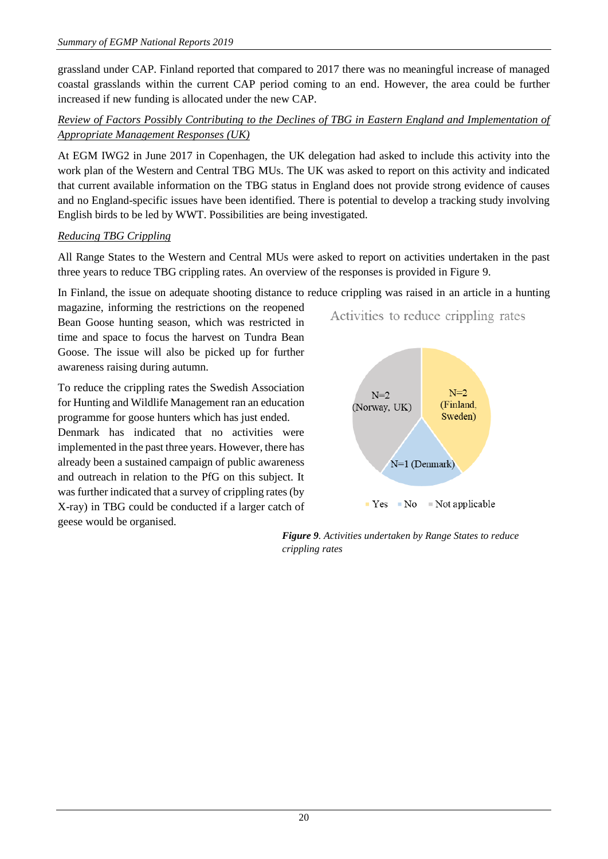grassland under CAP. Finland reported that compared to 2017 there was no meaningful increase of managed coastal grasslands within the current CAP period coming to an end. However, the area could be further increased if new funding is allocated under the new CAP.

## *Review of Factors Possibly Contributing to the Declines of TBG in Eastern England and Implementation of Appropriate Management Responses (UK)*

At EGM IWG2 in June 2017 in Copenhagen, the UK delegation had asked to include this activity into the work plan of the Western and Central TBG MUs. The UK was asked to report on this activity and indicated that current available information on the TBG status in England does not provide strong evidence of causes and no England-specific issues have been identified. There is potential to develop a tracking study involving English birds to be led by WWT. Possibilities are being investigated.

## *Reducing TBG Crippling*

All Range States to the Western and Central MUs were asked to report on activities undertaken in the past three years to reduce TBG crippling rates. An overview of the responses is provided in Figure 9.

In Finland, the issue on adequate shooting distance to reduce crippling was raised in an article in a hunting

magazine, informing the restrictions on the reopened Bean Goose hunting season, which was restricted in time and space to focus the harvest on Tundra Bean Goose. The issue will also be picked up for further awareness raising during autumn.

To reduce the crippling rates the Swedish Association for Hunting and Wildlife Management ran an education programme for goose hunters which has just ended. Denmark has indicated that no activities were implemented in the past three years. However, there has already been a sustained campaign of public awareness and outreach in relation to the PfG on this subject. It was further indicated that a survey of crippling rates (by X-ray) in TBG could be conducted if a larger catch of geese would be organised.



#### *Figure 9. Activities undertaken by Range States to reduce crippling rates*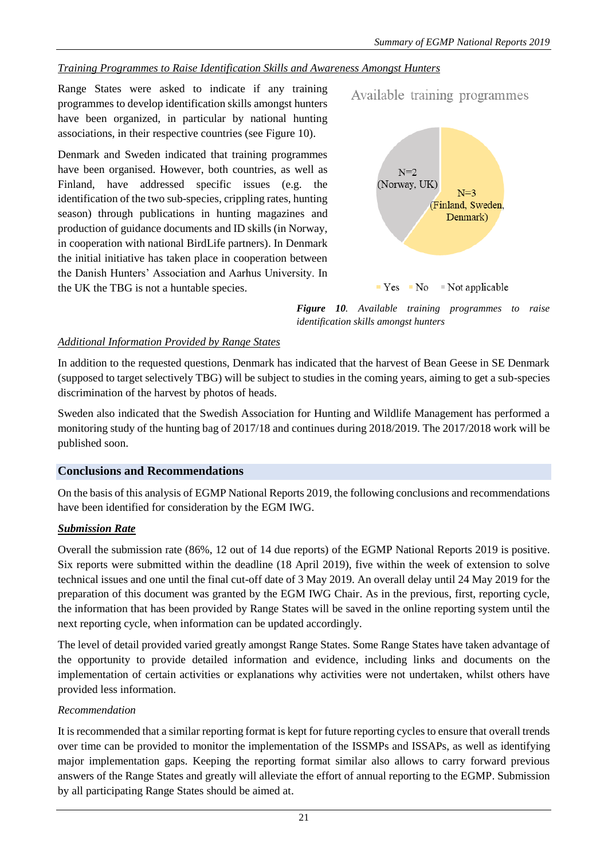#### *Training Programmes to Raise Identification Skills and Awareness Amongst Hunters*

Range States were asked to indicate if any training programmes to develop identification skills amongst hunters have been organized, in particular by national hunting associations, in their respective countries (see Figure 10).

Denmark and Sweden indicated that training programmes have been organised. However, both countries, as well as Finland, have addressed specific issues (e.g. the identification of the two sub-species, crippling rates, hunting season) through publications in hunting magazines and production of guidance documents and ID skills (in Norway, in cooperation with national BirdLife partners). In Denmark the initial initiative has taken place in cooperation between the Danish Hunters' Association and Aarhus University. In the UK the TBG is not a huntable species.



Available training programmes

 $Yes$  No  $\blacksquare$  Not applicable

*Figure 10. Available training programmes to raise identification skills amongst hunters*

#### *Additional Information Provided by Range States*

In addition to the requested questions, Denmark has indicated that the harvest of Bean Geese in SE Denmark (supposed to target selectively TBG) will be subject to studies in the coming years, aiming to get a sub-species discrimination of the harvest by photos of heads.

Sweden also indicated that the Swedish Association for Hunting and Wildlife Management has performed a monitoring study of the hunting bag of 2017/18 and continues during 2018/2019. The 2017/2018 work will be published soon.

#### <span id="page-20-0"></span>**Conclusions and Recommendations**

On the basis of this analysis of EGMP National Reports 2019, the following conclusions and recommendations have been identified for consideration by the EGM IWG.

#### *Submission Rate*

Overall the submission rate (86%, 12 out of 14 due reports) of the EGMP National Reports 2019 is positive. Six reports were submitted within the deadline (18 April 2019), five within the week of extension to solve technical issues and one until the final cut-off date of 3 May 2019. An overall delay until 24 May 2019 for the preparation of this document was granted by the EGM IWG Chair. As in the previous, first, reporting cycle, the information that has been provided by Range States will be saved in the online reporting system until the next reporting cycle, when information can be updated accordingly.

The level of detail provided varied greatly amongst Range States. Some Range States have taken advantage of the opportunity to provide detailed information and evidence, including links and documents on the implementation of certain activities or explanations why activities were not undertaken, whilst others have provided less information.

#### *Recommendation*

It is recommended that a similar reporting format is kept for future reporting cycles to ensure that overall trends over time can be provided to monitor the implementation of the ISSMPs and ISSAPs, as well as identifying major implementation gaps. Keeping the reporting format similar also allows to carry forward previous answers of the Range States and greatly will alleviate the effort of annual reporting to the EGMP. Submission by all participating Range States should be aimed at.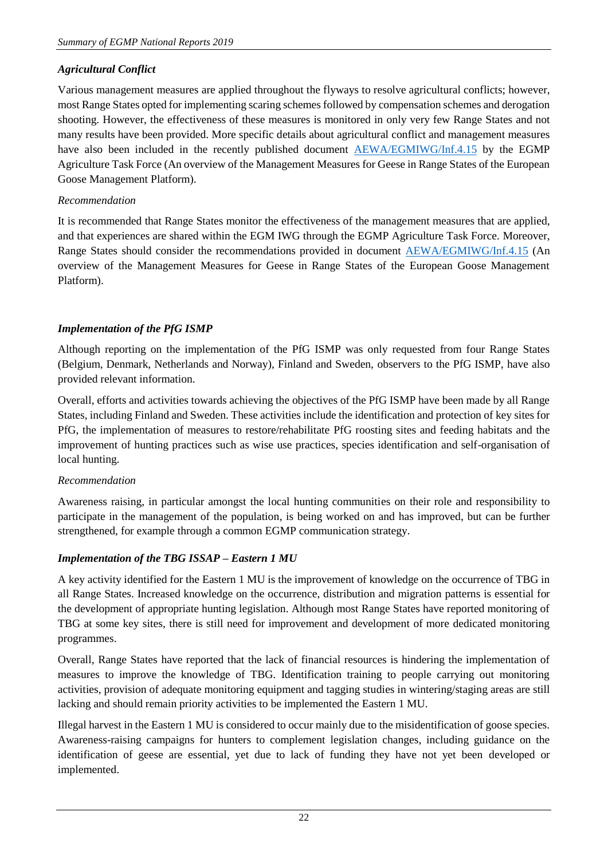## *Agricultural Conflict*

Various management measures are applied throughout the flyways to resolve agricultural conflicts; however, most Range States opted for implementing scaring schemes followed by compensation schemes and derogation shooting. However, the effectiveness of these measures is monitored in only very few Range States and not many results have been provided. More specific details about agricultural conflict and management measures have also been included in the recently published document **[AEWA/EGMIWG/Inf.4.15](https://egmp.aewa.info/sites/default/files/meeting_files/information_documents/aewa_egm_iwg4_inf_4_15_management%20measures.pdf)** by the EGMP Agriculture Task Force (An overview of the Management Measures for Geese in Range States of the European Goose Management Platform).

## *Recommendation*

It is recommended that Range States monitor the effectiveness of the management measures that are applied, and that experiences are shared within the EGM IWG through the EGMP Agriculture Task Force. Moreover, Range States should consider the recommendations provided in document [AEWA/EGMIWG/Inf.4.15](https://egmp.aewa.info/sites/default/files/meeting_files/information_documents/aewa_egm_iwg4_inf_4_15_management%20measures.pdf) (An overview of the Management Measures for Geese in Range States of the European Goose Management Platform).

## *Implementation of the PfG ISMP*

Although reporting on the implementation of the PfG ISMP was only requested from four Range States (Belgium, Denmark, Netherlands and Norway), Finland and Sweden, observers to the PfG ISMP, have also provided relevant information.

Overall, efforts and activities towards achieving the objectives of the PfG ISMP have been made by all Range States, including Finland and Sweden. These activities include the identification and protection of key sites for PfG, the implementation of measures to restore/rehabilitate PfG roosting sites and feeding habitats and the improvement of hunting practices such as wise use practices, species identification and self-organisation of local hunting.

#### *Recommendation*

Awareness raising, in particular amongst the local hunting communities on their role and responsibility to participate in the management of the population, is being worked on and has improved, but can be further strengthened, for example through a common EGMP communication strategy.

## *Implementation of the TBG ISSAP – Eastern 1 MU*

A key activity identified for the Eastern 1 MU is the improvement of knowledge on the occurrence of TBG in all Range States. Increased knowledge on the occurrence, distribution and migration patterns is essential for the development of appropriate hunting legislation. Although most Range States have reported monitoring of TBG at some key sites, there is still need for improvement and development of more dedicated monitoring programmes.

Overall, Range States have reported that the lack of financial resources is hindering the implementation of measures to improve the knowledge of TBG. Identification training to people carrying out monitoring activities, provision of adequate monitoring equipment and tagging studies in wintering/staging areas are still lacking and should remain priority activities to be implemented the Eastern 1 MU.

Illegal harvest in the Eastern 1 MU is considered to occur mainly due to the misidentification of goose species. Awareness-raising campaigns for hunters to complement legislation changes, including guidance on the identification of geese are essential, yet due to lack of funding they have not yet been developed or implemented.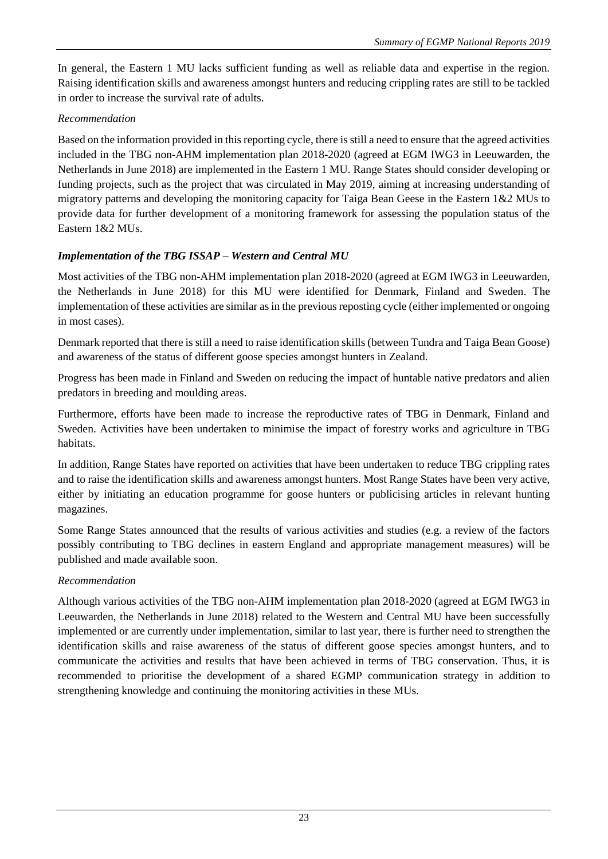In general, the Eastern 1 MU lacks sufficient funding as well as reliable data and expertise in the region. Raising identification skills and awareness amongst hunters and reducing crippling rates are still to be tackled in order to increase the survival rate of adults.

## *Recommendation*

Based on the information provided in this reporting cycle, there is still a need to ensure that the agreed activities included in the TBG non-AHM implementation plan 2018-2020 (agreed at EGM IWG3 in Leeuwarden, the Netherlands in June 2018) are implemented in the Eastern 1 MU. Range States should consider developing or funding projects, such as the project that was circulated in May 2019, aiming at increasing understanding of migratory patterns and developing the monitoring capacity for Taiga Bean Geese in the Eastern 1&2 MUs to provide data for further development of a monitoring framework for assessing the population status of the Eastern 1&2 MUs.

# *Implementation of the TBG ISSAP – Western and Central MU*

Most activities of the TBG non-AHM implementation plan 2018-2020 (agreed at EGM IWG3 in Leeuwarden, the Netherlands in June 2018) for this MU were identified for Denmark, Finland and Sweden. The implementation of these activities are similar as in the previous reposting cycle (either implemented or ongoing in most cases).

Denmark reported that there is still a need to raise identification skills (between Tundra and Taiga Bean Goose) and awareness of the status of different goose species amongst hunters in Zealand.

Progress has been made in Finland and Sweden on reducing the impact of huntable native predators and alien predators in breeding and moulding areas.

Furthermore, efforts have been made to increase the reproductive rates of TBG in Denmark, Finland and Sweden. Activities have been undertaken to minimise the impact of forestry works and agriculture in TBG habitats.

In addition, Range States have reported on activities that have been undertaken to reduce TBG crippling rates and to raise the identification skills and awareness amongst hunters. Most Range States have been very active, either by initiating an education programme for goose hunters or publicising articles in relevant hunting magazines.

Some Range States announced that the results of various activities and studies (e.g. a review of the factors possibly contributing to TBG declines in eastern England and appropriate management measures) will be published and made available soon.

# *Recommendation*

Although various activities of the TBG non-AHM implementation plan 2018-2020 (agreed at EGM IWG3 in Leeuwarden, the Netherlands in June 2018) related to the Western and Central MU have been successfully implemented or are currently under implementation, similar to last year, there is further need to strengthen the identification skills and raise awareness of the status of different goose species amongst hunters, and to communicate the activities and results that have been achieved in terms of TBG conservation. Thus, it is recommended to prioritise the development of a shared EGMP communication strategy in addition to strengthening knowledge and continuing the monitoring activities in these MUs.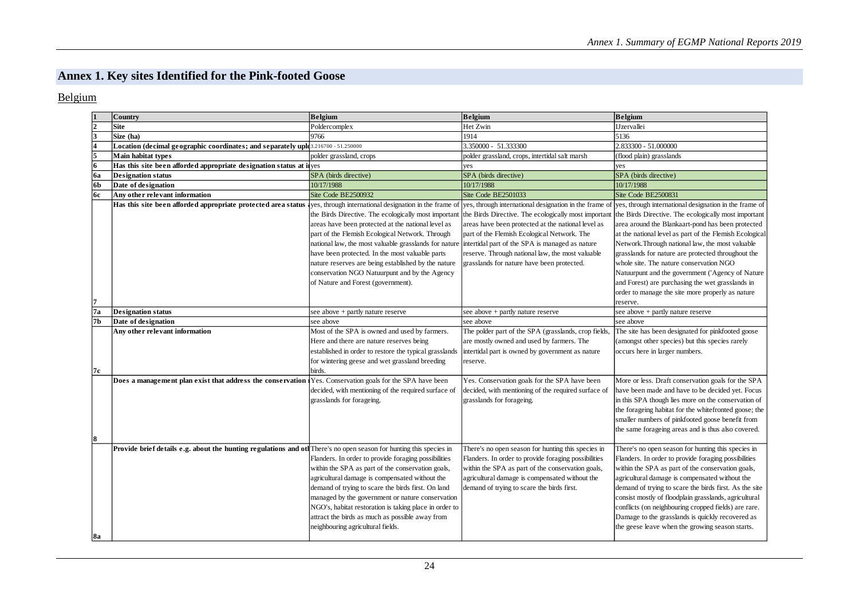# **Annex 1. Key sites Identified for the Pink-footed Goose**

#### Belgium

<span id="page-23-0"></span>

|           | <b>Country</b>                                                                                                       | <b>Belgium</b>                                                                                                                                                                                                                                                                                                                                                                                                          | <b>Belgium</b>                                                                                                                                                                                                                                                                                                                                                             | <b>Belgium</b>                                                                                                                                                                                                                                                                                                                                                                                                                                                                                      |
|-----------|----------------------------------------------------------------------------------------------------------------------|-------------------------------------------------------------------------------------------------------------------------------------------------------------------------------------------------------------------------------------------------------------------------------------------------------------------------------------------------------------------------------------------------------------------------|----------------------------------------------------------------------------------------------------------------------------------------------------------------------------------------------------------------------------------------------------------------------------------------------------------------------------------------------------------------------------|-----------------------------------------------------------------------------------------------------------------------------------------------------------------------------------------------------------------------------------------------------------------------------------------------------------------------------------------------------------------------------------------------------------------------------------------------------------------------------------------------------|
|           | <b>Site</b>                                                                                                          | Poldercomplex                                                                                                                                                                                                                                                                                                                                                                                                           | Het Zwin                                                                                                                                                                                                                                                                                                                                                                   | <b>IJzervallei</b>                                                                                                                                                                                                                                                                                                                                                                                                                                                                                  |
| l3        | Size (ha)                                                                                                            | 9766                                                                                                                                                                                                                                                                                                                                                                                                                    | 1914                                                                                                                                                                                                                                                                                                                                                                       | 5136                                                                                                                                                                                                                                                                                                                                                                                                                                                                                                |
|           | Location (decimal geographic coordinates; and separately uplo 3.216700 - 51.250000                                   |                                                                                                                                                                                                                                                                                                                                                                                                                         | 3.350000 - 51.333300                                                                                                                                                                                                                                                                                                                                                       | 2.833300 - 51.000000                                                                                                                                                                                                                                                                                                                                                                                                                                                                                |
| l5        | <b>Main habitat types</b>                                                                                            | polder grassland, crops                                                                                                                                                                                                                                                                                                                                                                                                 | polder grassland, crops, intertidal salt marsh                                                                                                                                                                                                                                                                                                                             | (flood plain) grasslands                                                                                                                                                                                                                                                                                                                                                                                                                                                                            |
| 6         | Has this site been afforded appropriate designation status at ilyes                                                  |                                                                                                                                                                                                                                                                                                                                                                                                                         | yes                                                                                                                                                                                                                                                                                                                                                                        | yes                                                                                                                                                                                                                                                                                                                                                                                                                                                                                                 |
| <b>6a</b> | <b>Designation status</b>                                                                                            | SPA (birds directive)                                                                                                                                                                                                                                                                                                                                                                                                   | SPA (birds directive)                                                                                                                                                                                                                                                                                                                                                      | SPA (birds directive)                                                                                                                                                                                                                                                                                                                                                                                                                                                                               |
| 6b        | Date of designation                                                                                                  | 10/17/1988                                                                                                                                                                                                                                                                                                                                                                                                              | 10/17/1988                                                                                                                                                                                                                                                                                                                                                                 | 10/17/1988                                                                                                                                                                                                                                                                                                                                                                                                                                                                                          |
| <b>6c</b> | Any other relevant information                                                                                       | Site Code BE2500932                                                                                                                                                                                                                                                                                                                                                                                                     | Site Code BE2501033                                                                                                                                                                                                                                                                                                                                                        | Site Code BE2500831                                                                                                                                                                                                                                                                                                                                                                                                                                                                                 |
|           | Has this site been afforded appropriate protected area status ves, through international designation in the frame of | areas have been protected at the national level as<br>part of the Flemish Ecological Network. Through<br>national law, the most valuable grasslands for nature intertidal part of the SPA is managed as nature<br>have been protected. In the most valuable parts<br>nature reserves are being established by the nature<br>conservation NGO Natuurpunt and by the Agency<br>of Nature and Forest (government).         | yes, through international designation in the frame of<br>the Birds Directive. The ecologically most important the Birds Directive. The ecologically most important<br>areas have been protected at the national level as<br>part of the Flemish Ecological Network. The<br>reserve. Through national law, the most valuable<br>grasslands for nature have been protected. | yes, through international designation in the frame of<br>the Birds Directive. The ecologically most important<br>area around the Blankaart-pond has been protected<br>at the national level as part of the Flemish Ecological<br>Network. Through national law, the most valuable<br>grasslands for nature are protected throughout the<br>whole site. The nature conservation NGO<br>Natuurpunt and the government ('Agency of Nature<br>and Forest) are purchasing the wet grasslands in         |
|           |                                                                                                                      |                                                                                                                                                                                                                                                                                                                                                                                                                         |                                                                                                                                                                                                                                                                                                                                                                            | order to manage the site more properly as nature<br>reserve.                                                                                                                                                                                                                                                                                                                                                                                                                                        |
| 7a        | <b>Designation status</b>                                                                                            | see above + partly nature reserve                                                                                                                                                                                                                                                                                                                                                                                       | see above + partly nature reserve                                                                                                                                                                                                                                                                                                                                          | see above + partly nature reserve                                                                                                                                                                                                                                                                                                                                                                                                                                                                   |
| l7b       | Date of designation                                                                                                  | see above                                                                                                                                                                                                                                                                                                                                                                                                               | see above                                                                                                                                                                                                                                                                                                                                                                  | see above                                                                                                                                                                                                                                                                                                                                                                                                                                                                                           |
| 17 c      | Any other relevant information                                                                                       | Most of the SPA is owned and used by farmers.<br>Here and there are nature reserves being<br>established in order to restore the typical grasslands<br>for wintering geese and wet grassland breeding<br><b>birds</b>                                                                                                                                                                                                   | The polder part of the SPA (grasslands, crop fields,<br>are mostly owned and used by farmers. The<br>intertidal part is owned by government as nature<br>reserve.                                                                                                                                                                                                          | The site has been designated for pinkfooted goose<br>(amongst other species) but this species rarely<br>occurs here in larger numbers.                                                                                                                                                                                                                                                                                                                                                              |
| 18        | Does a management plan exist that address the conservation Yes. Conservation goals for the SPA have been             | decided, with mentioning of the required surface of<br>grasslands for forageing.                                                                                                                                                                                                                                                                                                                                        | Yes. Conservation goals for the SPA have been<br>decided, with mentioning of the required surface of<br>grasslands for forageing.                                                                                                                                                                                                                                          | More or less. Draft conservation goals for the SPA<br>have been made and have to be decided yet. Focus<br>in this SPA though lies more on the conservation of<br>the forageing habitat for the whitefronted goose; the<br>smaller numbers of pinkfooted goose benefit from<br>the same forageing areas and is thus also covered.                                                                                                                                                                    |
| 8a        | Provide brief details e.g. about the hunting regulations and otl There's no open season for hunting this species in  | Flanders. In order to provide foraging possibilities<br>within the SPA as part of the conservation goals,<br>agricultural damage is compensated without the<br>demand of trying to scare the birds first. On land<br>managed by the government or nature conservation<br>NGO's, habitat restoration is taking place in order to<br>attract the birds as much as possible away from<br>neighbouring agricultural fields. | There's no open season for hunting this species in<br>Flanders. In order to provide foraging possibilities<br>within the SPA as part of the conservation goals,<br>agricultural damage is compensated without the<br>demand of trying to scare the birds first.                                                                                                            | There's no open season for hunting this species in<br>Flanders. In order to provide foraging possibilities<br>within the SPA as part of the conservation goals,<br>agricultural damage is compensated without the<br>demand of trying to scare the birds first. As the site<br>consist mostly of floodplain grasslands, agricultural<br>conflicts (on neighbouring cropped fields) are rare.<br>Damage to the grasslands is quickly recovered as<br>the geese leave when the growing season starts. |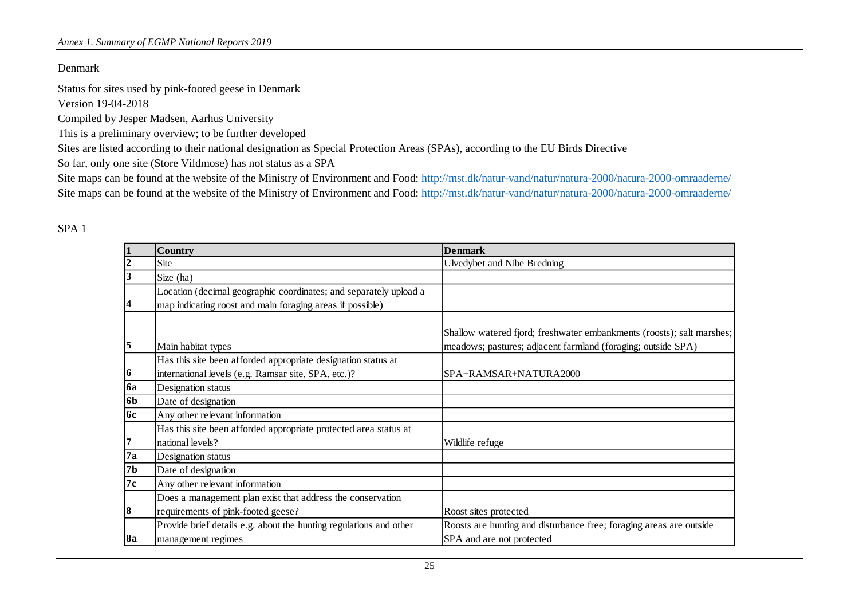#### Denmark

Status for sites used by pink-footed geese in Denmark

Version 19-04-2018

Compiled by Jesper Madsen, Aarhus University

This is a preliminary overview; to be further developed

Sites are listed according to their national designation as Special Protection Areas (SPAs), according to the EU Birds Directive

So far, only one site (Store Vildmose) has not status as a SPA

Site maps can be found at the website of the Ministry of Environment and Food:<http://mst.dk/natur-vand/natur/natura-2000/natura-2000-omraaderne/> Site maps can be found at the website of the Ministry of Environment and Food:<http://mst.dk/natur-vand/natur/natura-2000/natura-2000-omraaderne/>

|           | <b>Country</b>                                                     | <b>Denmark</b>                                                        |
|-----------|--------------------------------------------------------------------|-----------------------------------------------------------------------|
|           | Site                                                               | Ulvedybet and Nibe Bredning                                           |
|           | Size (ha)                                                          |                                                                       |
|           | Location (decimal geographic coordinates; and separately upload a  |                                                                       |
| 14        | map indicating roost and main foraging areas if possible)          |                                                                       |
|           |                                                                    |                                                                       |
|           |                                                                    | Shallow watered fjord; freshwater embankments (roosts); salt marshes; |
| 15        | Main habitat types                                                 | meadows; pastures; adjacent farmland (foraging; outside SPA)          |
|           | Has this site been afforded appropriate designation status at      |                                                                       |
| 16        | international levels (e.g. Ramsar site, SPA, etc.)?                | SPA+RAMSAR+NATURA2000                                                 |
| <b>6a</b> | Designation status                                                 |                                                                       |
| <b>6b</b> | Date of designation                                                |                                                                       |
| 6c        | Any other relevant information                                     |                                                                       |
|           | Has this site been afforded appropriate protected area status at   |                                                                       |
|           | national levels?                                                   | Wildlife refuge                                                       |
| 7a        | Designation status                                                 |                                                                       |
| 7b        | Date of designation                                                |                                                                       |
| 7c        | Any other relevant information                                     |                                                                       |
|           | Does a management plan exist that address the conservation         |                                                                       |
| 8         | requirements of pink-footed geese?                                 | Roost sites protected                                                 |
|           | Provide brief details e.g. about the hunting regulations and other | Roosts are hunting and disturbance free; foraging areas are outside   |
| 8a        | management regimes                                                 | SPA and are not protected                                             |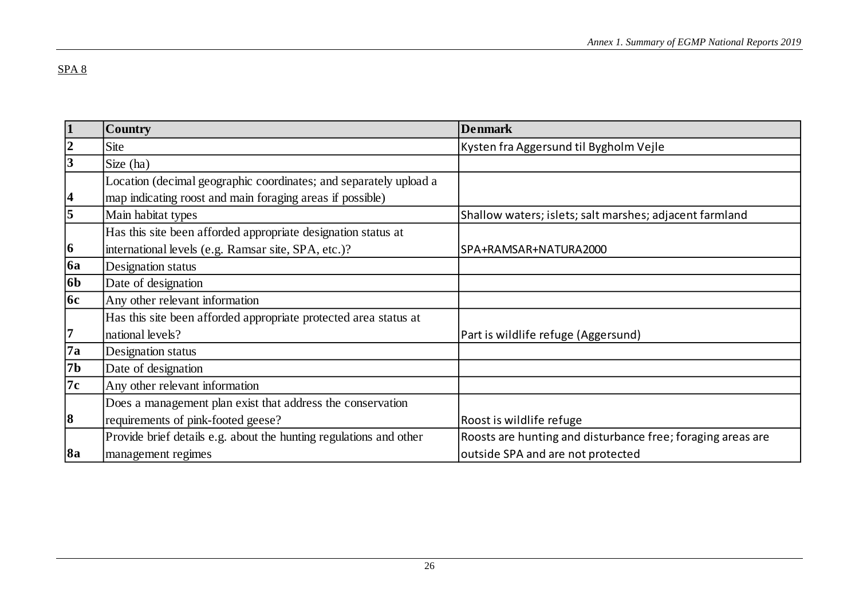| $\mathbf{1}$            | <b>Country</b>                                                     | <b>Denmark</b>                                              |
|-------------------------|--------------------------------------------------------------------|-------------------------------------------------------------|
| $\overline{2}$          | Site                                                               | Kysten fra Aggersund til Bygholm Vejle                      |
| $\overline{\mathbf{3}}$ | Size (ha)                                                          |                                                             |
|                         | Location (decimal geographic coordinates; and separately upload a  |                                                             |
| $\overline{\mathbf{4}}$ | map indicating roost and main foraging areas if possible)          |                                                             |
| $\overline{5}$          | Main habitat types                                                 | Shallow waters; islets; salt marshes; adjacent farmland     |
|                         | Has this site been afforded appropriate designation status at      |                                                             |
| $\vert 6 \vert$         | international levels (e.g. Ramsar site, SPA, etc.)?                | SPA+RAMSAR+NATURA2000                                       |
| <b>6a</b>               | Designation status                                                 |                                                             |
| <b>6b</b>               | Date of designation                                                |                                                             |
| 6c                      | Any other relevant information                                     |                                                             |
|                         | Has this site been afforded appropriate protected area status at   |                                                             |
| 17                      | national levels?                                                   | Part is wildlife refuge (Aggersund)                         |
| 7a                      | Designation status                                                 |                                                             |
| 7 <sub>b</sub>          | Date of designation                                                |                                                             |
| 7c                      | Any other relevant information                                     |                                                             |
|                         | Does a management plan exist that address the conservation         |                                                             |
| $\vert 8$               | requirements of pink-footed geese?                                 | Roost is wildlife refuge                                    |
|                         | Provide brief details e.g. about the hunting regulations and other | Roosts are hunting and disturbance free; foraging areas are |
| <b>8a</b>               | management regimes                                                 | outside SPA and are not protected                           |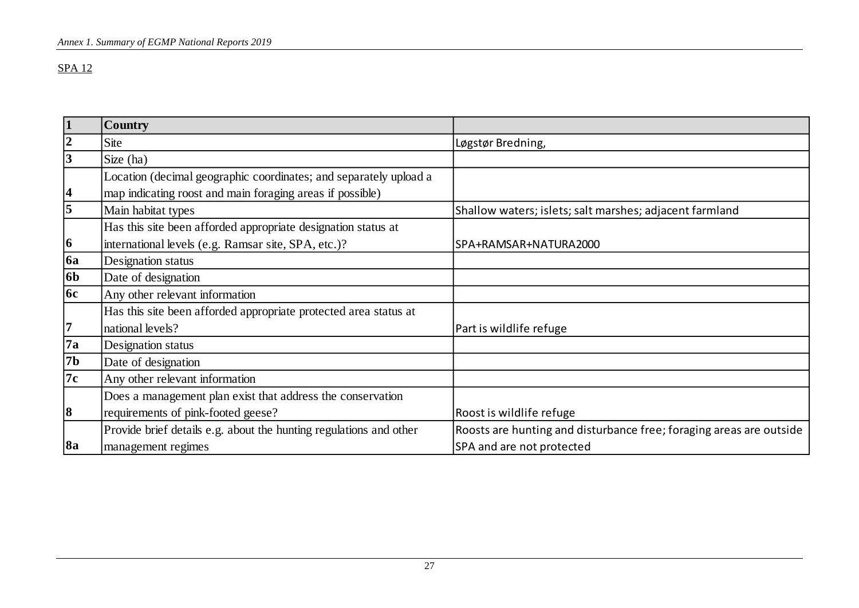| $\overline{\mathbf{1}}$ | <b>Country</b>                                                     |                                                                     |
|-------------------------|--------------------------------------------------------------------|---------------------------------------------------------------------|
| $\frac{2}{3}$           | Site                                                               | Løgstør Bredning,                                                   |
|                         | Size (ha)                                                          |                                                                     |
|                         | Location (decimal geographic coordinates; and separately upload a  |                                                                     |
| $\overline{\mathbf{4}}$ | map indicating roost and main foraging areas if possible)          |                                                                     |
| $\overline{\mathbf{5}}$ | Main habitat types                                                 | Shallow waters; islets; salt marshes; adjacent farmland             |
|                         | Has this site been afforded appropriate designation status at      |                                                                     |
| $\vert 6 \vert$         | international levels (e.g. Ramsar site, SPA, etc.)?                | SPA+RAMSAR+NATURA2000                                               |
| <b>6a</b>               | Designation status                                                 |                                                                     |
| 6 <sub>b</sub>          | Date of designation                                                |                                                                     |
| $\overline{6c}$         | Any other relevant information                                     |                                                                     |
|                         | Has this site been afforded appropriate protected area status at   |                                                                     |
| 7                       | national levels?                                                   | Part is wildlife refuge                                             |
| $\overline{7a}$         | Designation status                                                 |                                                                     |
| 7 <sub>b</sub>          | Date of designation                                                |                                                                     |
| $\overline{7c}$         | Any other relevant information                                     |                                                                     |
|                         | Does a management plan exist that address the conservation         |                                                                     |
| 8                       | requirements of pink-footed geese?                                 | Roost is wildlife refuge                                            |
|                         | Provide brief details e.g. about the hunting regulations and other | Roosts are hunting and disturbance free; foraging areas are outside |
| <b>8a</b>               | management regimes                                                 | SPA and are not protected                                           |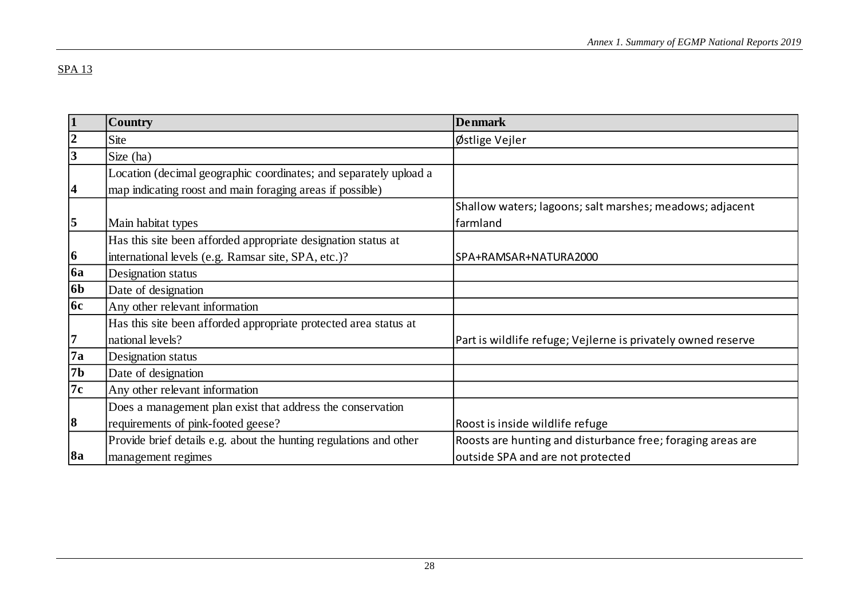| $\vert$ 1       | <b>Country</b>                                                     | <b>Denmark</b>                                               |
|-----------------|--------------------------------------------------------------------|--------------------------------------------------------------|
| $\overline{2}$  | Site                                                               | Østlige Vejler                                               |
| $\overline{3}$  | Size (ha)                                                          |                                                              |
|                 | Location (decimal geographic coordinates; and separately upload a  |                                                              |
| 4               | map indicating roost and main foraging areas if possible)          |                                                              |
|                 |                                                                    | Shallow waters; lagoons; salt marshes; meadows; adjacent     |
| $\overline{5}$  | Main habitat types                                                 | farmland                                                     |
|                 | Has this site been afforded appropriate designation status at      |                                                              |
| $\vert 6 \vert$ | international levels (e.g. Ramsar site, SPA, etc.)?                | SPA+RAMSAR+NATURA2000                                        |
| <b>6a</b>       | Designation status                                                 |                                                              |
| 6 <sub>b</sub>  | Date of designation                                                |                                                              |
| <b>6c</b>       | Any other relevant information                                     |                                                              |
|                 | Has this site been afforded appropriate protected area status at   |                                                              |
| 7               | national levels?                                                   | Part is wildlife refuge; Vejlerne is privately owned reserve |
| 7a              | Designation status                                                 |                                                              |
| 7b              | Date of designation                                                |                                                              |
| 7c              | Any other relevant information                                     |                                                              |
|                 | Does a management plan exist that address the conservation         |                                                              |
| 8               | requirements of pink-footed geese?                                 | Roost is inside wildlife refuge                              |
|                 | Provide brief details e.g. about the hunting regulations and other | Roosts are hunting and disturbance free; foraging areas are  |
| <b>8a</b>       | management regimes                                                 | outside SPA and are not protected                            |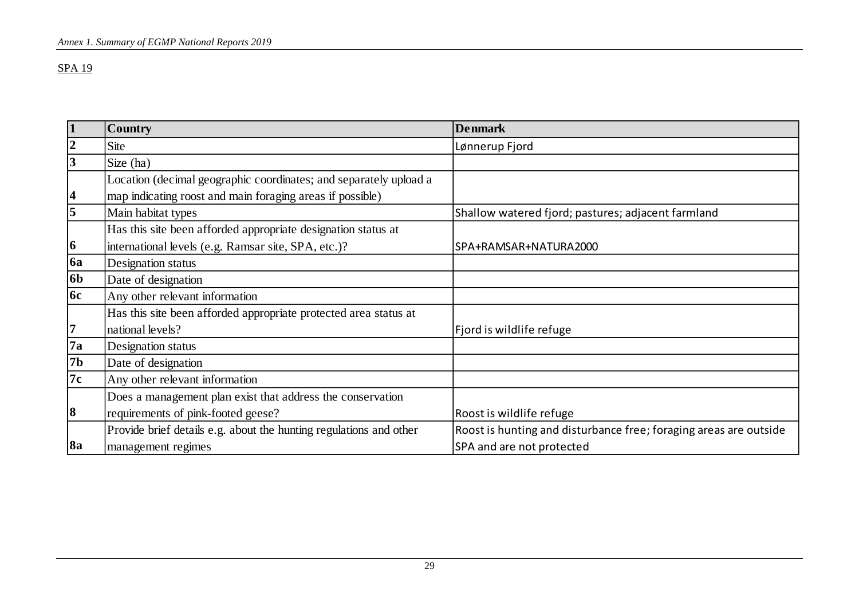| 1              | <b>Country</b>                                                     | <b>Denmark</b>                                                    |
|----------------|--------------------------------------------------------------------|-------------------------------------------------------------------|
| $ 2\rangle$    | Site                                                               | Lønnerup Fjord                                                    |
| $\vert$ 3      | Size (ha)                                                          |                                                                   |
|                | Location (decimal geographic coordinates; and separately upload a  |                                                                   |
| <sup>4</sup>   | map indicating roost and main foraging areas if possible)          |                                                                   |
| 5              | Main habitat types                                                 | Shallow watered fjord; pastures; adjacent farmland                |
|                | Has this site been afforded appropriate designation status at      |                                                                   |
| 6              | international levels (e.g. Ramsar site, SPA, etc.)?                | SPA+RAMSAR+NATURA2000                                             |
| <b>6a</b>      | Designation status                                                 |                                                                   |
| 6 <sub>b</sub> | Date of designation                                                |                                                                   |
| <b>6c</b>      | Any other relevant information                                     |                                                                   |
|                | Has this site been afforded appropriate protected area status at   |                                                                   |
| 17             | national levels?                                                   | Fjord is wildlife refuge                                          |
| $\sqrt{7a}$    | Designation status                                                 |                                                                   |
| 7 <sub>b</sub> | Date of designation                                                |                                                                   |
| 7c             | Any other relevant information                                     |                                                                   |
|                | Does a management plan exist that address the conservation         |                                                                   |
| 8              | requirements of pink-footed geese?                                 | Roost is wildlife refuge                                          |
|                | Provide brief details e.g. about the hunting regulations and other | Roost is hunting and disturbance free; foraging areas are outside |
| 8a             | management regimes                                                 | SPA and are not protected                                         |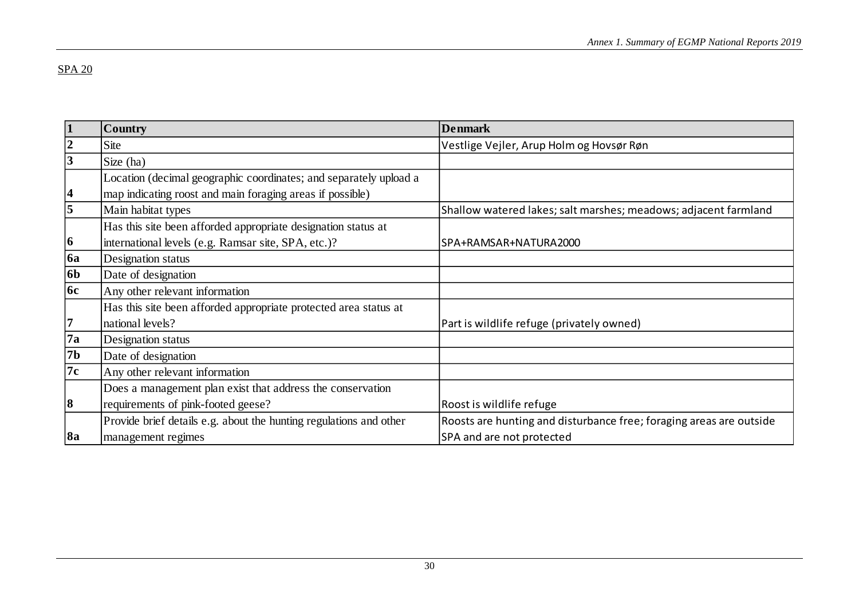| $\mathbf{1}$            | <b>Country</b>                                                     | <b>Denmark</b>                                                      |
|-------------------------|--------------------------------------------------------------------|---------------------------------------------------------------------|
| $\overline{2}$          | Site                                                               | Vestlige Vejler, Arup Holm og Hovsør Røn                            |
| 3                       | Size (ha)                                                          |                                                                     |
|                         | Location (decimal geographic coordinates; and separately upload a  |                                                                     |
| $\overline{\mathbf{4}}$ | map indicating roost and main foraging areas if possible)          |                                                                     |
| 5                       | Main habitat types                                                 | Shallow watered lakes; salt marshes; meadows; adjacent farmland     |
|                         | Has this site been afforded appropriate designation status at      |                                                                     |
| 6                       | international levels (e.g. Ramsar site, SPA, etc.)?                | SPA+RAMSAR+NATURA2000                                               |
| <b>6a</b>               | Designation status                                                 |                                                                     |
| <b>6b</b>               | Date of designation                                                |                                                                     |
| <b>6c</b>               | Any other relevant information                                     |                                                                     |
|                         | Has this site been afforded appropriate protected area status at   |                                                                     |
| 7                       | national levels?                                                   | Part is wildlife refuge (privately owned)                           |
| 7a                      | Designation status                                                 |                                                                     |
| 7 <sub>b</sub>          | Date of designation                                                |                                                                     |
| 7c                      | Any other relevant information                                     |                                                                     |
|                         | Does a management plan exist that address the conservation         |                                                                     |
| 8                       | requirements of pink-footed geese?                                 | Roost is wildlife refuge                                            |
|                         | Provide brief details e.g. about the hunting regulations and other | Roosts are hunting and disturbance free; foraging areas are outside |
| 8a                      | management regimes                                                 | SPA and are not protected                                           |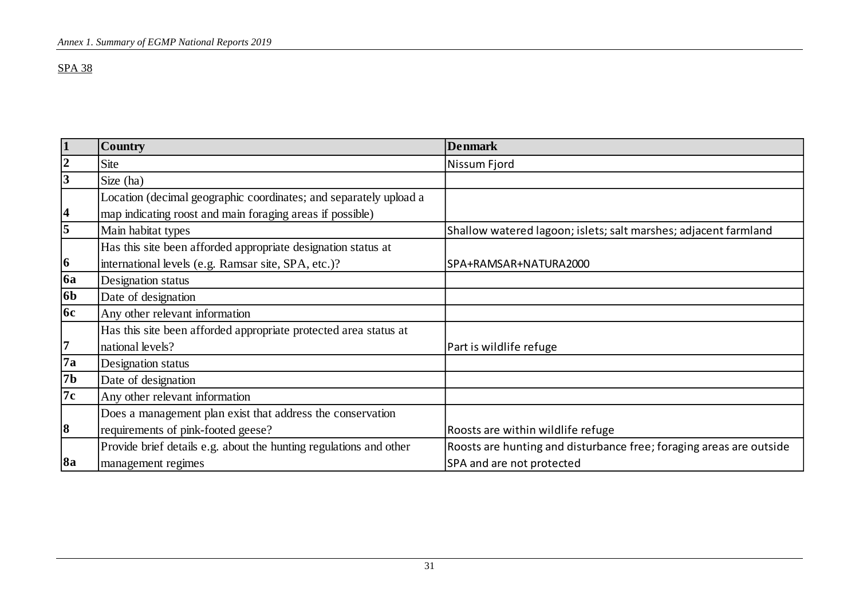| $\vert$ 1               | <b>Country</b>                                                     | <b>Denmark</b>                                                      |
|-------------------------|--------------------------------------------------------------------|---------------------------------------------------------------------|
| $\overline{2}$          | <b>Site</b>                                                        | Nissum Fjord                                                        |
| 3                       | Size (ha)                                                          |                                                                     |
|                         | Location (decimal geographic coordinates; and separately upload a  |                                                                     |
| $\overline{\mathbf{4}}$ | map indicating roost and main foraging areas if possible)          |                                                                     |
| $\overline{\mathbf{5}}$ | Main habitat types                                                 | Shallow watered lagoon; islets; salt marshes; adjacent farmland     |
|                         | Has this site been afforded appropriate designation status at      |                                                                     |
| $\vert 6 \vert$         | international levels (e.g. Ramsar site, SPA, etc.)?                | SPA+RAMSAR+NATURA2000                                               |
| <b>6a</b>               | Designation status                                                 |                                                                     |
| 6 <sub>b</sub>          | Date of designation                                                |                                                                     |
| <b>6c</b>               | Any other relevant information                                     |                                                                     |
|                         | Has this site been afforded appropriate protected area status at   |                                                                     |
| 17                      | national levels?                                                   | Part is wildlife refuge                                             |
| 7a                      | Designation status                                                 |                                                                     |
| <b>7b</b>               | Date of designation                                                |                                                                     |
| 7c                      | Any other relevant information                                     |                                                                     |
|                         | Does a management plan exist that address the conservation         |                                                                     |
| $\vert 8$               | requirements of pink-footed geese?                                 | Roosts are within wildlife refuge                                   |
|                         | Provide brief details e.g. about the hunting regulations and other | Roosts are hunting and disturbance free; foraging areas are outside |
| 8a                      | management regimes                                                 | SPA and are not protected                                           |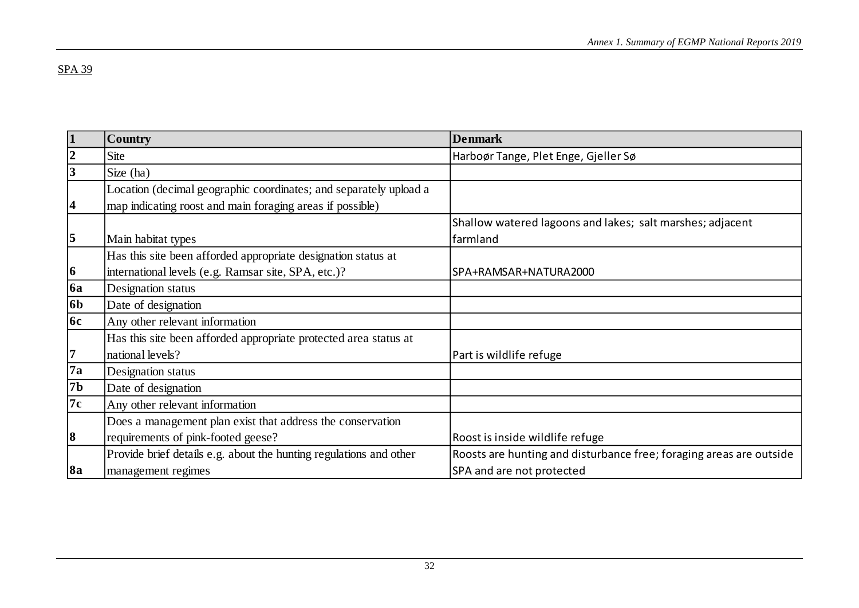| 1               | <b>Country</b>                                                     | <b>Denmark</b>                                                      |
|-----------------|--------------------------------------------------------------------|---------------------------------------------------------------------|
| $\overline{2}$  | Site                                                               | Harboør Tange, Plet Enge, Gjeller Sø                                |
| $\vert 3$       | Size (ha)                                                          |                                                                     |
|                 | Location (decimal geographic coordinates; and separately upload a  |                                                                     |
| 4               | map indicating roost and main foraging areas if possible)          |                                                                     |
|                 |                                                                    | Shallow watered lagoons and lakes; salt marshes; adjacent           |
| $\vert 5 \vert$ | Main habitat types                                                 | farmland                                                            |
|                 | Has this site been afforded appropriate designation status at      |                                                                     |
| 6               | international levels (e.g. Ramsar site, SPA, etc.)?                | SPA+RAMSAR+NATURA2000                                               |
| <b>6a</b>       | Designation status                                                 |                                                                     |
| 6b              | Date of designation                                                |                                                                     |
| 6c              | Any other relevant information                                     |                                                                     |
|                 | Has this site been afforded appropriate protected area status at   |                                                                     |
| 7               | national levels?                                                   | Part is wildlife refuge                                             |
| 7a              | Designation status                                                 |                                                                     |
| 7b              | Date of designation                                                |                                                                     |
| 7c              | Any other relevant information                                     |                                                                     |
|                 | Does a management plan exist that address the conservation         |                                                                     |
| 8               | requirements of pink-footed geese?                                 | Roost is inside wildlife refuge                                     |
|                 | Provide brief details e.g. about the hunting regulations and other | Roosts are hunting and disturbance free; foraging areas are outside |
| 8a              | management regimes                                                 | SPA and are not protected                                           |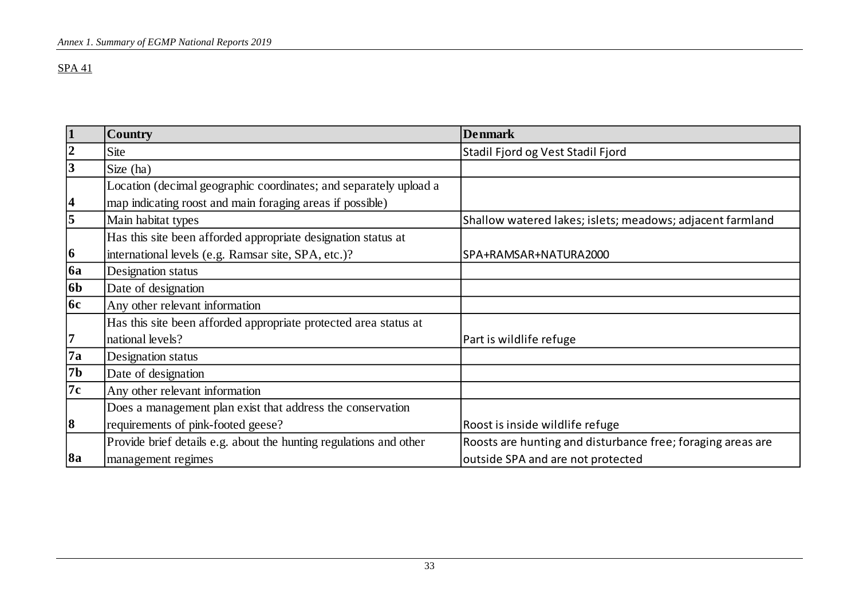| $\vert$ 1               | <b>Country</b>                                                     | <b>Denmark</b>                                              |
|-------------------------|--------------------------------------------------------------------|-------------------------------------------------------------|
| $ 2\rangle$             | <b>Site</b>                                                        | Stadil Fjord og Vest Stadil Fjord                           |
| $\overline{\mathbf{3}}$ | Size (ha)                                                          |                                                             |
|                         | Location (decimal geographic coordinates; and separately upload a  |                                                             |
| 4                       | map indicating roost and main foraging areas if possible)          |                                                             |
| $\overline{\mathbf{5}}$ | Main habitat types                                                 | Shallow watered lakes; islets; meadows; adjacent farmland   |
|                         | Has this site been afforded appropriate designation status at      |                                                             |
| $ 6\rangle$             | international levels (e.g. Ramsar site, SPA, etc.)?                | SPA+RAMSAR+NATURA2000                                       |
| <b>6a</b>               | Designation status                                                 |                                                             |
| 6 <sub>b</sub>          | Date of designation                                                |                                                             |
| 6c                      | Any other relevant information                                     |                                                             |
|                         | Has this site been afforded appropriate protected area status at   |                                                             |
| 7                       | national levels?                                                   | Part is wildlife refuge                                     |
| <b>7a</b>               | Designation status                                                 |                                                             |
| 7b                      | Date of designation                                                |                                                             |
| 7c                      | Any other relevant information                                     |                                                             |
|                         | Does a management plan exist that address the conservation         |                                                             |
| $\vert 8$               | requirements of pink-footed geese?                                 | Roost is inside wildlife refuge                             |
|                         | Provide brief details e.g. about the hunting regulations and other | Roosts are hunting and disturbance free; foraging areas are |
| <b>8a</b>               | management regimes                                                 | outside SPA and are not protected                           |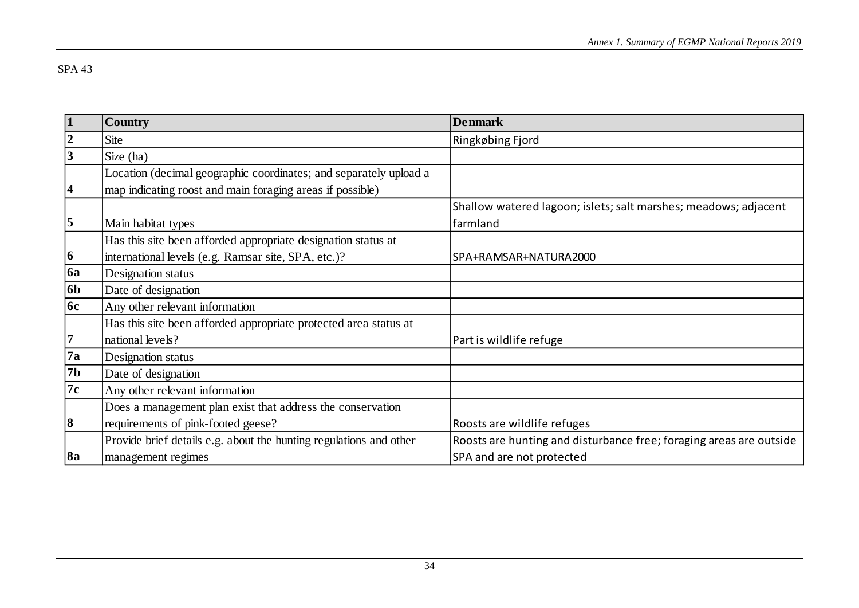| $\mathbf{1}$            | <b>Country</b>                                                     | <b>Denmark</b>                                                              |
|-------------------------|--------------------------------------------------------------------|-----------------------------------------------------------------------------|
| $\overline{2}$          | Site                                                               | Ringkøbing Fjord                                                            |
| 3                       | Size (ha)                                                          |                                                                             |
|                         | Location (decimal geographic coordinates; and separately upload a  |                                                                             |
| $\overline{\mathbf{4}}$ | map indicating roost and main foraging areas if possible)          |                                                                             |
| 5                       | Main habitat types                                                 | Shallow watered lagoon; islets; salt marshes; meadows; adjacent<br>farmland |
|                         | Has this site been afforded appropriate designation status at      |                                                                             |
| $\vert 6 \vert$         | international levels (e.g. Ramsar site, SPA, etc.)?                | SPA+RAMSAR+NATURA2000                                                       |
| <b>6a</b>               | Designation status                                                 |                                                                             |
| <b>6b</b>               | Date of designation                                                |                                                                             |
| <b>6c</b>               | Any other relevant information                                     |                                                                             |
|                         | Has this site been afforded appropriate protected area status at   |                                                                             |
| $\overline{7}$          | national levels?                                                   | Part is wildlife refuge                                                     |
| 7a                      | Designation status                                                 |                                                                             |
| 7 <sub>b</sub>          | Date of designation                                                |                                                                             |
| 7c                      | Any other relevant information                                     |                                                                             |
|                         | Does a management plan exist that address the conservation         |                                                                             |
| $\vert 8$               | requirements of pink-footed geese?                                 | Roosts are wildlife refuges                                                 |
|                         | Provide brief details e.g. about the hunting regulations and other | Roosts are hunting and disturbance free; foraging areas are outside         |
| <b>8a</b>               | management regimes                                                 | SPA and are not protected                                                   |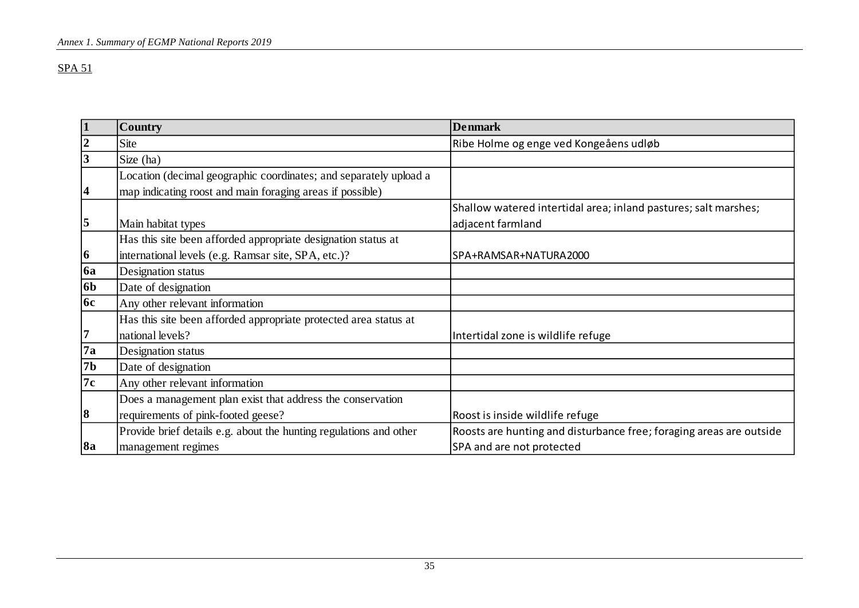|                         | <b>Country</b>                                                     | <b>Denmark</b>                                                      |  |
|-------------------------|--------------------------------------------------------------------|---------------------------------------------------------------------|--|
| 2                       | Site                                                               | Ribe Holme og enge ved Kongeåens udløb                              |  |
| $\overline{3}$          | Size (ha)                                                          |                                                                     |  |
|                         | Location (decimal geographic coordinates; and separately upload a  |                                                                     |  |
| $\boldsymbol{4}$        | map indicating roost and main foraging areas if possible)          |                                                                     |  |
|                         |                                                                    | Shallow watered intertidal area; inland pastures; salt marshes;     |  |
| $\overline{\mathbf{5}}$ | Main habitat types                                                 | adjacent farmland                                                   |  |
|                         | Has this site been afforded appropriate designation status at      |                                                                     |  |
| 6                       | international levels (e.g. Ramsar site, SPA, etc.)?                | SPA+RAMSAR+NATURA2000                                               |  |
| <b>6a</b>               | Designation status                                                 |                                                                     |  |
| 6 <sub>b</sub>          | Date of designation                                                |                                                                     |  |
| <b>6c</b>               | Any other relevant information                                     |                                                                     |  |
|                         | Has this site been afforded appropriate protected area status at   |                                                                     |  |
| 17                      | national levels?                                                   | Intertidal zone is wildlife refuge                                  |  |
| 7a                      | Designation status                                                 |                                                                     |  |
| <b>7b</b>               | Date of designation                                                |                                                                     |  |
| 7c                      | Any other relevant information                                     |                                                                     |  |
|                         | Does a management plan exist that address the conservation         |                                                                     |  |
| $\vert 8$               | requirements of pink-footed geese?                                 | Roost is inside wildlife refuge                                     |  |
|                         | Provide brief details e.g. about the hunting regulations and other | Roosts are hunting and disturbance free; foraging areas are outside |  |
| 8a                      | management regimes                                                 | SPA and are not protected                                           |  |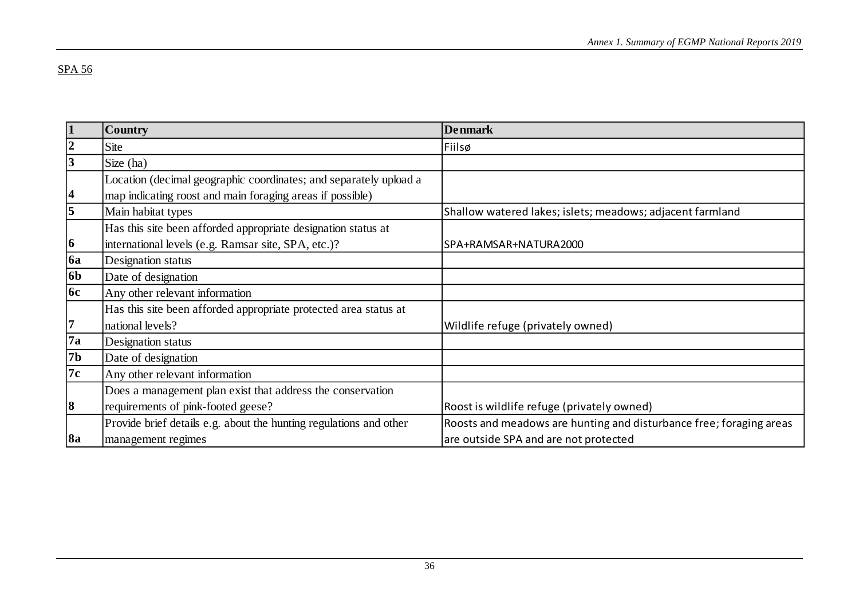| 1              | <b>Country</b>                                                     | <b>Denmark</b>                                                      |  |
|----------------|--------------------------------------------------------------------|---------------------------------------------------------------------|--|
| $\overline{2}$ | <b>Site</b>                                                        | Fiilsø                                                              |  |
|                | Size (ha)                                                          |                                                                     |  |
|                | Location (decimal geographic coordinates; and separately upload a  |                                                                     |  |
| 4              | map indicating roost and main foraging areas if possible)          |                                                                     |  |
| $\overline{5}$ | Main habitat types                                                 | Shallow watered lakes; islets; meadows; adjacent farmland           |  |
|                | Has this site been afforded appropriate designation status at      |                                                                     |  |
| $ 6\rangle$    | international levels (e.g. Ramsar site, SPA, etc.)?                | SPA+RAMSAR+NATURA2000                                               |  |
| 6a             | Designation status                                                 |                                                                     |  |
| 6 <sub>b</sub> | Date of designation                                                |                                                                     |  |
| 6c             | Any other relevant information                                     |                                                                     |  |
|                | Has this site been afforded appropriate protected area status at   |                                                                     |  |
| 7              | national levels?                                                   | Wildlife refuge (privately owned)                                   |  |
| 7a             | Designation status                                                 |                                                                     |  |
| 7b             | Date of designation                                                |                                                                     |  |
| 7c             | Any other relevant information                                     |                                                                     |  |
|                | Does a management plan exist that address the conservation         |                                                                     |  |
| 8              | requirements of pink-footed geese?                                 | Roost is wildlife refuge (privately owned)                          |  |
|                | Provide brief details e.g. about the hunting regulations and other | Roosts and meadows are hunting and disturbance free; foraging areas |  |
| 8a             | management regimes                                                 | are outside SPA and are not protected                               |  |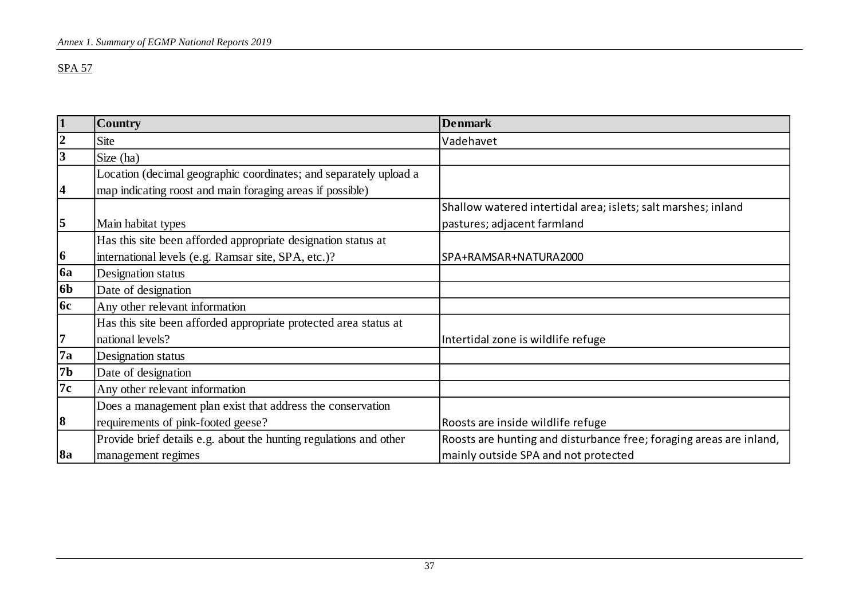| $\vert$ 1        | <b>Country</b>                                                     | <b>Denmark</b>                                                      |  |
|------------------|--------------------------------------------------------------------|---------------------------------------------------------------------|--|
| $\boldsymbol{2}$ | Site                                                               | Vadehavet                                                           |  |
| 3                | Size (ha)                                                          |                                                                     |  |
|                  | Location (decimal geographic coordinates; and separately upload a  |                                                                     |  |
| 4                | map indicating roost and main foraging areas if possible)          |                                                                     |  |
|                  |                                                                    | Shallow watered intertidal area; islets; salt marshes; inland       |  |
| $\overline{5}$   | Main habitat types                                                 | pastures; adjacent farmland                                         |  |
|                  | Has this site been afforded appropriate designation status at      |                                                                     |  |
| 6                | international levels (e.g. Ramsar site, SPA, etc.)?                | SPA+RAMSAR+NATURA2000                                               |  |
| 6a               | Designation status                                                 |                                                                     |  |
| 6 <sub>b</sub>   | Date of designation                                                |                                                                     |  |
| 6c               | Any other relevant information                                     |                                                                     |  |
|                  | Has this site been afforded appropriate protected area status at   |                                                                     |  |
| 17               | national levels?                                                   | Intertidal zone is wildlife refuge                                  |  |
| 7a               | Designation status                                                 |                                                                     |  |
| 7 <b>b</b>       | Date of designation                                                |                                                                     |  |
| 7c               | Any other relevant information                                     |                                                                     |  |
|                  | Does a management plan exist that address the conservation         |                                                                     |  |
| $\vert 8 \vert$  | requirements of pink-footed geese?                                 | Roosts are inside wildlife refuge                                   |  |
|                  | Provide brief details e.g. about the hunting regulations and other | Roosts are hunting and disturbance free; foraging areas are inland, |  |
| 8a               | management regimes                                                 | mainly outside SPA and not protected                                |  |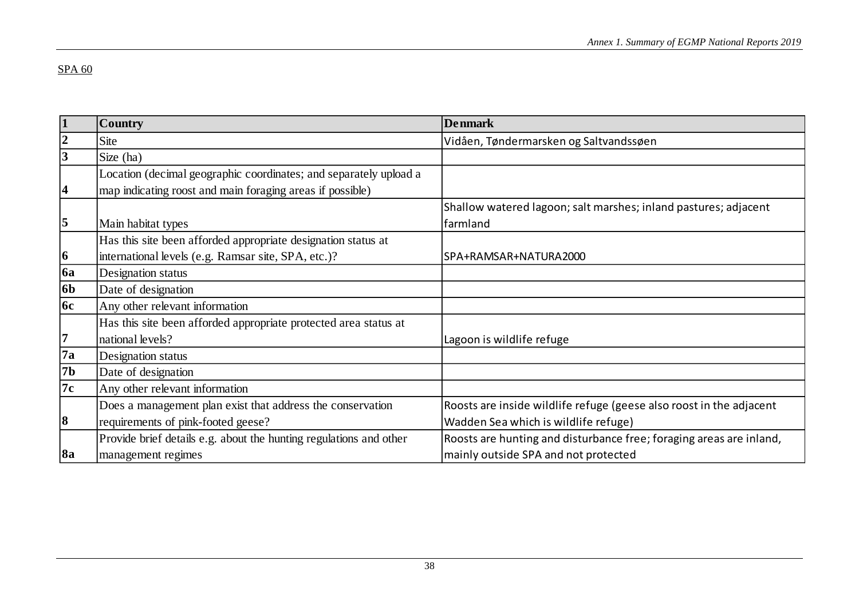| 1              | Country                                                            | <b>Denmark</b>                                                      |  |
|----------------|--------------------------------------------------------------------|---------------------------------------------------------------------|--|
| $\overline{2}$ | Site                                                               | Vidåen, Tøndermarsken og Saltvandssøen                              |  |
| $\overline{3}$ | Size (ha)                                                          |                                                                     |  |
|                | Location (decimal geographic coordinates; and separately upload a  |                                                                     |  |
| 4              | map indicating roost and main foraging areas if possible)          |                                                                     |  |
|                |                                                                    | Shallow watered lagoon; salt marshes; inland pastures; adjacent     |  |
| 5              | Main habitat types                                                 | farmland                                                            |  |
|                | Has this site been afforded appropriate designation status at      |                                                                     |  |
| 6              | international levels (e.g. Ramsar site, SPA, etc.)?                | SPA+RAMSAR+NATURA2000                                               |  |
| 6a             | Designation status                                                 |                                                                     |  |
| 6 <sub>b</sub> | Date of designation                                                |                                                                     |  |
| 6c             | Any other relevant information                                     |                                                                     |  |
|                | Has this site been afforded appropriate protected area status at   |                                                                     |  |
| 7              | national levels?                                                   | Lagoon is wildlife refuge                                           |  |
| 7a             | Designation status                                                 |                                                                     |  |
| 7b             | Date of designation                                                |                                                                     |  |
| 7c             | Any other relevant information                                     |                                                                     |  |
|                | Does a management plan exist that address the conservation         | Roosts are inside wildlife refuge (geese also roost in the adjacent |  |
| 8              | requirements of pink-footed geese?                                 | Wadden Sea which is wildlife refuge)                                |  |
|                | Provide brief details e.g. about the hunting regulations and other | Roosts are hunting and disturbance free; foraging areas are inland, |  |
| <b>8a</b>      | management regimes                                                 | mainly outside SPA and not protected                                |  |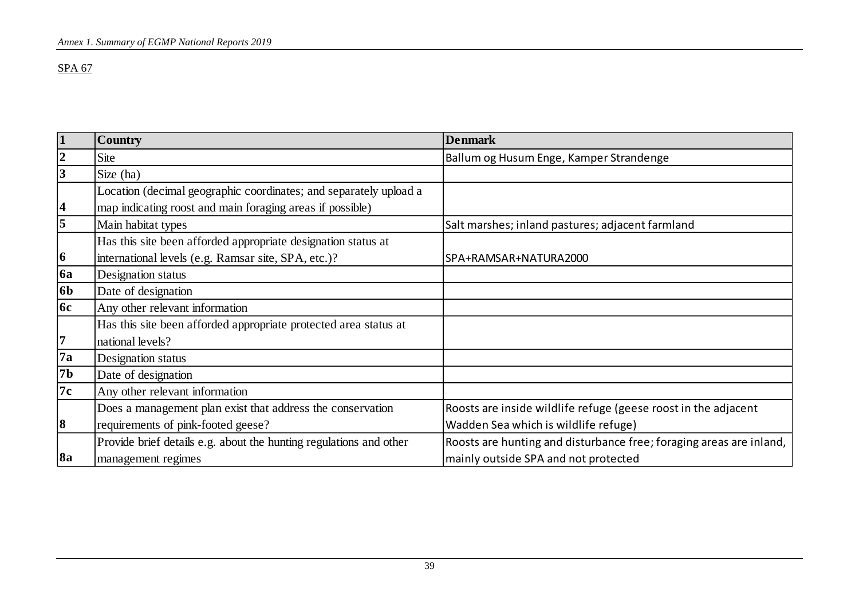| $\vert$ 1       | Country                                                            | <b>Denmark</b>                                                      |  |
|-----------------|--------------------------------------------------------------------|---------------------------------------------------------------------|--|
| $ 2\rangle$     | <b>Site</b>                                                        | Ballum og Husum Enge, Kamper Strandenge                             |  |
| 3               | Size (ha)                                                          |                                                                     |  |
|                 | Location (decimal geographic coordinates; and separately upload a  |                                                                     |  |
| 4               | map indicating roost and main foraging areas if possible)          |                                                                     |  |
| $\overline{5}$  | Main habitat types                                                 | Salt marshes; inland pastures; adjacent farmland                    |  |
|                 | Has this site been afforded appropriate designation status at      |                                                                     |  |
| $\vert 6 \vert$ | international levels (e.g. Ramsar site, SPA, etc.)?                | SPA+RAMSAR+NATURA2000                                               |  |
| 6a              | Designation status                                                 |                                                                     |  |
| 6 <sub>b</sub>  | Date of designation                                                |                                                                     |  |
| 6c              | Any other relevant information                                     |                                                                     |  |
|                 | Has this site been afforded appropriate protected area status at   |                                                                     |  |
| 17              | national levels?                                                   |                                                                     |  |
| <b>7a</b>       | Designation status                                                 |                                                                     |  |
| 7b              | Date of designation                                                |                                                                     |  |
| 7c              | Any other relevant information                                     |                                                                     |  |
|                 | Does a management plan exist that address the conservation         | Roosts are inside wildlife refuge (geese roost in the adjacent      |  |
| $\vert 8 \vert$ | requirements of pink-footed geese?                                 | Wadden Sea which is wildlife refuge)                                |  |
|                 | Provide brief details e.g. about the hunting regulations and other | Roosts are hunting and disturbance free; foraging areas are inland, |  |
| 8a              | management regimes                                                 | mainly outside SPA and not protected                                |  |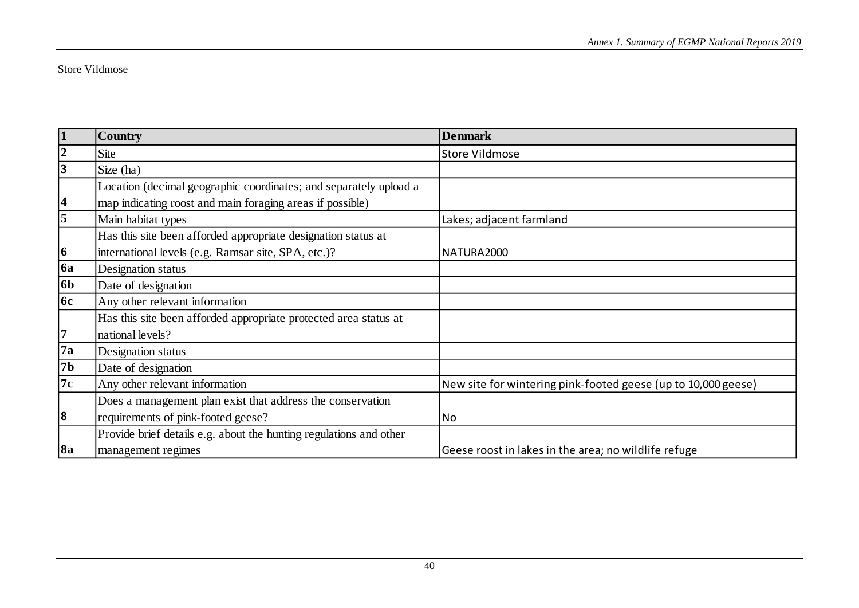#### Store Vildmose

| 1                   | <b>Country</b>                                                     | <b>Denmark</b>                                                |  |
|---------------------|--------------------------------------------------------------------|---------------------------------------------------------------|--|
| $ 2\rangle$         | <b>Site</b>                                                        | <b>Store Vildmose</b>                                         |  |
| 3                   | Size (ha)                                                          |                                                               |  |
|                     | Location (decimal geographic coordinates; and separately upload a  |                                                               |  |
| 4                   | map indicating roost and main foraging areas if possible)          |                                                               |  |
| $\overline{\bm{5}}$ | Main habitat types                                                 | Lakes; adjacent farmland                                      |  |
|                     | Has this site been afforded appropriate designation status at      |                                                               |  |
| $ 6\rangle$         | international levels (e.g. Ramsar site, SPA, etc.)?                | NATURA2000                                                    |  |
| <b>6a</b>           | Designation status                                                 |                                                               |  |
| 6 <sub>b</sub>      | Date of designation                                                |                                                               |  |
| <b>6c</b>           | Any other relevant information                                     |                                                               |  |
|                     | Has this site been afforded appropriate protected area status at   |                                                               |  |
| 7                   | national levels?                                                   |                                                               |  |
| $\sqrt{7a}$         | Designation status                                                 |                                                               |  |
| 7 <sub>b</sub>      | Date of designation                                                |                                                               |  |
| 7c                  | Any other relevant information                                     | New site for wintering pink-footed geese (up to 10,000 geese) |  |
|                     | Does a management plan exist that address the conservation         |                                                               |  |
| 8                   | requirements of pink-footed geese?                                 | No                                                            |  |
|                     | Provide brief details e.g. about the hunting regulations and other |                                                               |  |
| 8a                  | management regimes                                                 | Geese roost in lakes in the area; no wildlife refuge          |  |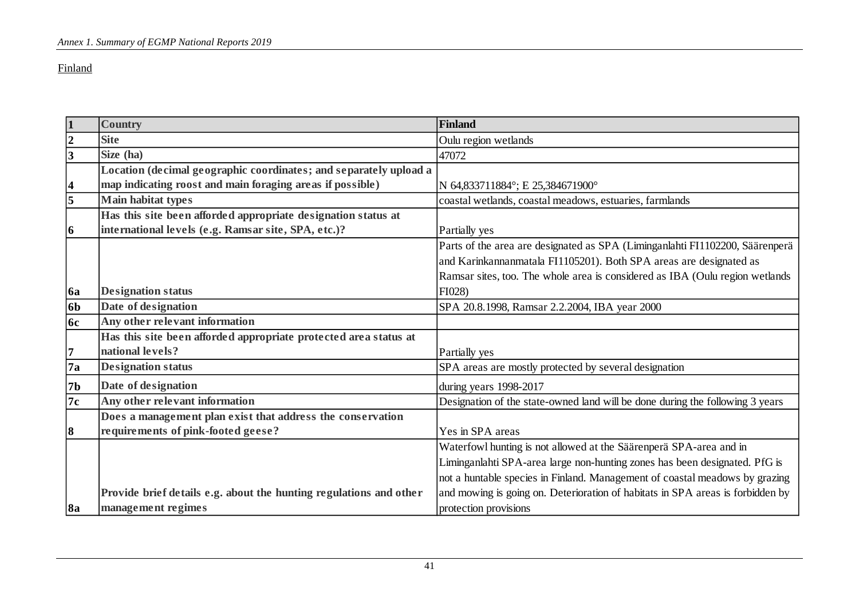#### Finland

| $\mathbf{1}$            | <b>Country</b>                                                     | Finland                                                                        |  |  |
|-------------------------|--------------------------------------------------------------------|--------------------------------------------------------------------------------|--|--|
| $\overline{2}$          | <b>Site</b>                                                        | Oulu region wetlands                                                           |  |  |
| 3                       | Size (ha)                                                          | 47072                                                                          |  |  |
|                         | Location (decimal geographic coordinates; and separately upload a  |                                                                                |  |  |
| $\overline{\mathbf{4}}$ | map indicating roost and main foraging areas if possible)          | N 64,833711884°; E 25,384671900°                                               |  |  |
| $\overline{\mathbf{5}}$ | <b>Main habitat types</b>                                          | coastal wetlands, coastal meadows, estuaries, farmlands                        |  |  |
|                         | Has this site been afforded appropriate designation status at      |                                                                                |  |  |
| 6                       | international levels (e.g. Ramsar site, SPA, etc.)?                | Partially yes                                                                  |  |  |
|                         |                                                                    | Parts of the area are designated as SPA (Liminganlahti FI1102200, Säärenperä   |  |  |
|                         |                                                                    | and Karinkannanmatala FI1105201). Both SPA areas are designated as             |  |  |
|                         |                                                                    | Ramsar sites, too. The whole area is considered as IBA (Oulu region wetlands   |  |  |
| <b>6a</b>               | <b>Designation status</b>                                          | FI028)                                                                         |  |  |
| 6 <sub>b</sub>          | Date of designation                                                | SPA 20.8.1998, Ramsar 2.2.2004, IBA year 2000                                  |  |  |
| <b>6c</b>               | Any other relevant information                                     |                                                                                |  |  |
|                         | Has this site been afforded appropriate protected area status at   |                                                                                |  |  |
| 7                       | national levels?                                                   | Partially yes                                                                  |  |  |
| 7a                      | <b>Designation status</b>                                          | SPA areas are mostly protected by several designation                          |  |  |
| 7 <sub>b</sub>          | Date of designation                                                | during years 1998-2017                                                         |  |  |
| 7c                      | Any other relevant information                                     | Designation of the state-owned land will be done during the following 3 years  |  |  |
|                         | Does a management plan exist that address the conservation         |                                                                                |  |  |
| 8                       | requirements of pink-footed geese?                                 | Yes in SPA areas                                                               |  |  |
|                         |                                                                    | Waterfowl hunting is not allowed at the Säärenperä SPA-area and in             |  |  |
|                         |                                                                    | Liminganlahti SPA-area large non-hunting zones has been designated. PfG is     |  |  |
|                         |                                                                    | not a huntable species in Finland. Management of coastal meadows by grazing    |  |  |
|                         | Provide brief details e.g. about the hunting regulations and other | and mowing is going on. Deterioration of habitats in SPA areas is forbidden by |  |  |
| <b>8a</b>               | management regimes                                                 | protection provisions                                                          |  |  |